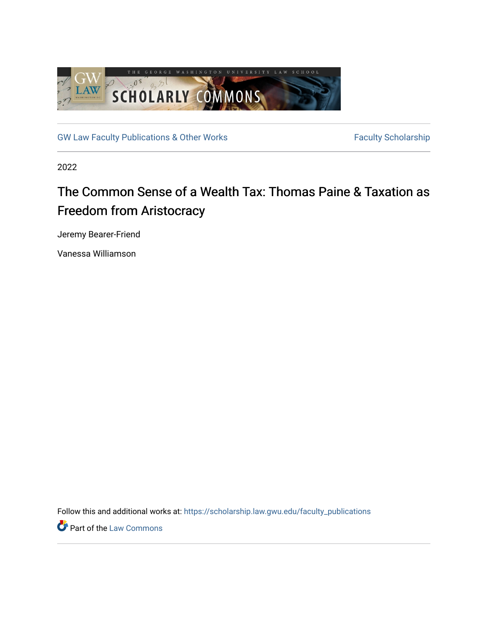

[GW Law Faculty Publications & Other Works](https://scholarship.law.gwu.edu/faculty_publications) Faculty Scholarship

2022

# The Common Sense of a Wealth Tax: Thomas Paine & Taxation as Freedom from Aristocracy

Jeremy Bearer-Friend

Vanessa Williamson

Follow this and additional works at: [https://scholarship.law.gwu.edu/faculty\\_publications](https://scholarship.law.gwu.edu/faculty_publications?utm_source=scholarship.law.gwu.edu%2Ffaculty_publications%2F1598&utm_medium=PDF&utm_campaign=PDFCoverPages) 

**Part of the [Law Commons](https://network.bepress.com/hgg/discipline/578?utm_source=scholarship.law.gwu.edu%2Ffaculty_publications%2F1598&utm_medium=PDF&utm_campaign=PDFCoverPages)**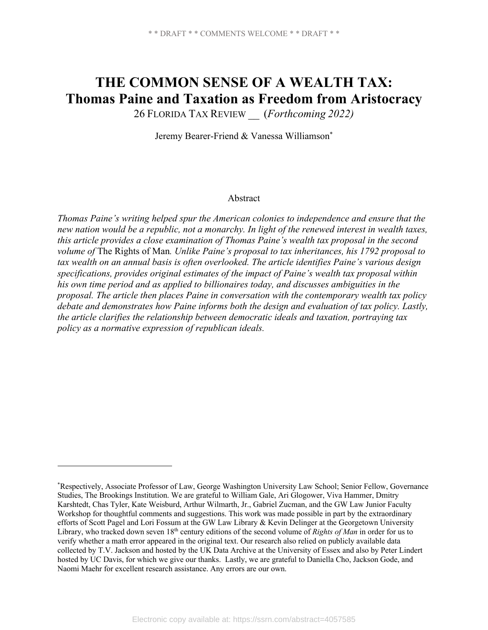# **THE COMMON SENSE OF A WEALTH TAX: Thomas Paine and Taxation as Freedom from Aristocracy**

26 FLORIDA TAX REVIEW \_\_ (*Forthcoming 2022)*

Jeremy Bearer-Friend & Vanessa Williamson\*

#### Abstract

*Thomas Paine's writing helped spur the American colonies to independence and ensure that the new nation would be a republic, not a monarchy. In light of the renewed interest in wealth taxes, this article provides a close examination of Thomas Paine's wealth tax proposal in the second volume of* The Rights of Man*. Unlike Paine's proposal to tax inheritances, his 1792 proposal to tax wealth on an annual basis is often overlooked. The article identifies Paine's various design specifications, provides original estimates of the impact of Paine's wealth tax proposal within his own time period and as applied to billionaires today, and discusses ambiguities in the proposal. The article then places Paine in conversation with the contemporary wealth tax policy debate and demonstrates how Paine informs both the design and evaluation of tax policy. Lastly, the article clarifies the relationship between democratic ideals and taxation, portraying tax policy as a normative expression of republican ideals.*

<sup>\*</sup> Respectively, Associate Professor of Law, George Washington University Law School; Senior Fellow, Governance Studies, The Brookings Institution. We are grateful to William Gale, Ari Glogower, Viva Hammer, Dmitry Karshtedt, Chas Tyler, Kate Weisburd, Arthur Wilmarth, Jr., Gabriel Zucman, and the GW Law Junior Faculty Workshop for thoughtful comments and suggestions. This work was made possible in part by the extraordinary efforts of Scott Pagel and Lori Fossum at the GW Law Library & Kevin Delinger at the Georgetown University Library, who tracked down seven 18<sup>th</sup> century editions of the second volume of *Rights of Man* in order for us to verify whether a math error appeared in the original text. Our research also relied on publicly available data collected by T.V. Jackson and hosted by the UK Data Archive at the University of Essex and also by Peter Lindert hosted by UC Davis, for which we give our thanks. Lastly, we are grateful to Daniella Cho, Jackson Gode, and Naomi Maehr for excellent research assistance. Any errors are our own.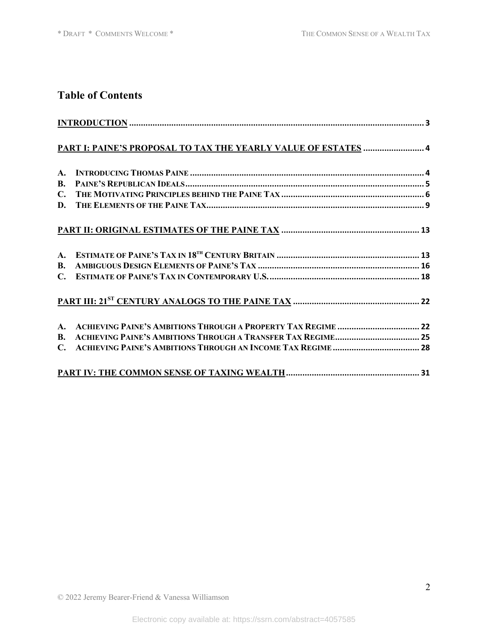# **Table of Contents**

|                | $\frac{INTRODUCTION}{1000}$                                         |  |
|----------------|---------------------------------------------------------------------|--|
|                | PART I: PAINE'S PROPOSAL TO TAX THE YEARLY VALUE OF ESTATES  4      |  |
| $\mathbf{A}$ . |                                                                     |  |
| <b>B.</b>      |                                                                     |  |
|                |                                                                     |  |
| D.             |                                                                     |  |
|                |                                                                     |  |
| $A_{\cdot}$    |                                                                     |  |
| <b>B.</b>      |                                                                     |  |
|                |                                                                     |  |
|                |                                                                     |  |
| $A_{\cdot}$    |                                                                     |  |
| <b>B.</b>      | <b>ACHIEVING PAINE'S AMBITIONS THROUGH A TRANSFER TAX REGIME 25</b> |  |
| $\mathbf{C}$ . |                                                                     |  |
|                |                                                                     |  |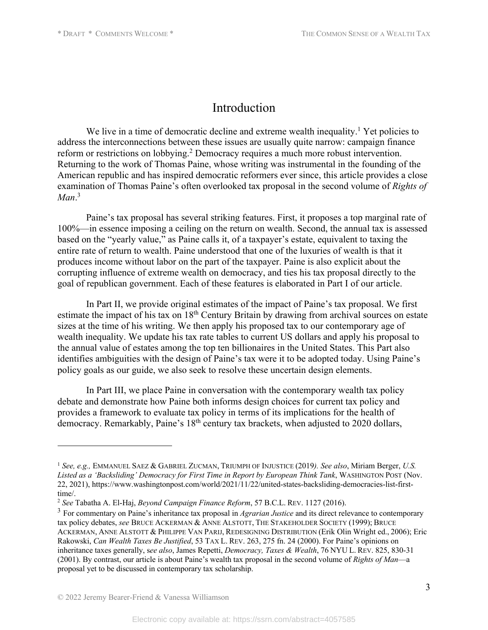## Introduction

We live in a time of democratic decline and extreme wealth inequality.<sup>1</sup> Yet policies to address the interconnections between these issues are usually quite narrow: campaign finance reform or restrictions on lobbying.<sup>2</sup> Democracy requires a much more robust intervention. Returning to the work of Thomas Paine, whose writing was instrumental in the founding of the American republic and has inspired democratic reformers ever since, this article provides a close examination of Thomas Paine's often overlooked tax proposal in the second volume of *Rights of Man*. 3

Paine's tax proposal has several striking features. First, it proposes a top marginal rate of 100%—in essence imposing a ceiling on the return on wealth. Second, the annual tax is assessed based on the "yearly value," as Paine calls it, of a taxpayer's estate, equivalent to taxing the entire rate of return to wealth. Paine understood that one of the luxuries of wealth is that it produces income without labor on the part of the taxpayer. Paine is also explicit about the corrupting influence of extreme wealth on democracy, and ties his tax proposal directly to the goal of republican government. Each of these features is elaborated in Part I of our article.

In Part II, we provide original estimates of the impact of Paine's tax proposal. We first estimate the impact of his tax on 18<sup>th</sup> Century Britain by drawing from archival sources on estate sizes at the time of his writing. We then apply his proposed tax to our contemporary age of wealth inequality. We update his tax rate tables to current US dollars and apply his proposal to the annual value of estates among the top ten billionaires in the United States. This Part also identifies ambiguities with the design of Paine's tax were it to be adopted today. Using Paine's policy goals as our guide, we also seek to resolve these uncertain design elements.

In Part III, we place Paine in conversation with the contemporary wealth tax policy debate and demonstrate how Paine both informs design choices for current tax policy and provides a framework to evaluate tax policy in terms of its implications for the health of democracy. Remarkably, Paine's 18<sup>th</sup> century tax brackets, when adjusted to 2020 dollars,

<sup>1</sup> *See, e.g.,* EMMANUEL SAEZ & GABRIEL ZUCMAN, TRIUMPH OF INJUSTICE (2019*). See also*, Miriam Berger, *U.S. Listed as a 'Backsliding' Democracy for First Time in Report by European Think Tank*, WASHINGTON POST (Nov. 22, 2021), https://www.washingtonpost.com/world/2021/11/22/united-states-backsliding-democracies-list-firsttime/.

<sup>2</sup> *See* Tabatha A. El-Haj, *Beyond Campaign Finance Reform*, 57 B.C.L. REV. 1127 (2016).

<sup>3</sup> For commentary on Paine's inheritance tax proposal in *Agrarian Justice* and its direct relevance to contemporary tax policy debates, *see* BRUCE ACKERMAN & ANNE ALSTOTT, THE STAKEHOLDER SOCIETY (1999); BRUCE ACKERMAN, ANNE ALSTOTT & PHILIPPE VAN PARIJ, REDESIGNING DISTRIBUTION (Erik Olin Wright ed., 2006); Eric Rakowski, *Can Wealth Taxes Be Justified*, 53 TAX L. REV. 263, 275 fn. 24 (2000). For Paine's opinions on inheritance taxes generally, s*ee also*, James Repetti, *Democracy, Taxes & Wealth*, 76 NYU L. REV. 825, 830-31 (2001). By contrast, our article is about Paine's wealth tax proposal in the second volume of *Rights of Man*—a proposal yet to be discussed in contemporary tax scholarship.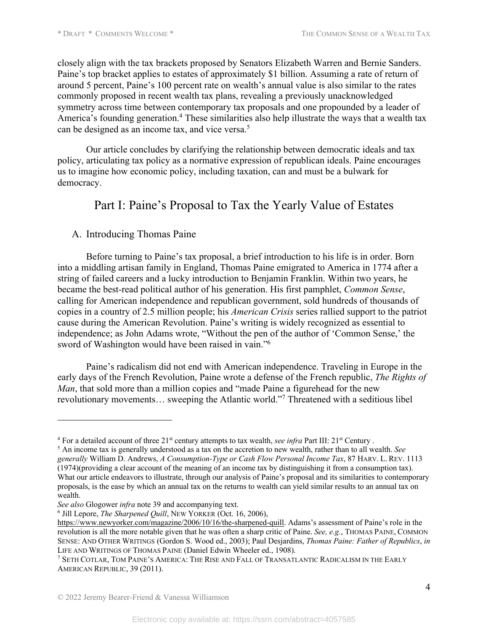closely align with the tax brackets proposed by Senators Elizabeth Warren and Bernie Sanders. Paine's top bracket applies to estates of approximately \$1 billion. Assuming a rate of return of around 5 percent, Paine's 100 percent rate on wealth's annual value is also similar to the rates commonly proposed in recent wealth tax plans, revealing a previously unacknowledged symmetry across time between contemporary tax proposals and one propounded by a leader of America's founding generation.<sup>4</sup> These similarities also help illustrate the ways that a wealth tax can be designed as an income tax, and vice versa.<sup>5</sup>

Our article concludes by clarifying the relationship between democratic ideals and tax policy, articulating tax policy as a normative expression of republican ideals. Paine encourages us to imagine how economic policy, including taxation, can and must be a bulwark for democracy.

# Part I: Paine's Proposal to Tax the Yearly Value of Estates

### A. Introducing Thomas Paine

Before turning to Paine's tax proposal, a brief introduction to his life is in order. Born into a middling artisan family in England, Thomas Paine emigrated to America in 1774 after a string of failed careers and a lucky introduction to Benjamin Franklin. Within two years, he became the best-read political author of his generation. His first pamphlet, *Common Sense*, calling for American independence and republican government, sold hundreds of thousands of copies in a country of 2.5 million people; his *American Crisis* series rallied support to the patriot cause during the American Revolution. Paine's writing is widely recognized as essential to independence; as John Adams wrote, "Without the pen of the author of 'Common Sense,' the sword of Washington would have been raised in vain."6

Paine's radicalism did not end with American independence. Traveling in Europe in the early days of the French Revolution, Paine wrote a defense of the French republic, *The Rights of Man*, that sold more than a million copies and "made Paine a figurehead for the new revolutionary movements… sweeping the Atlantic world."7 Threatened with a seditious libel

<sup>4</sup> For a detailed account of three 21st century attempts to tax wealth, *see infra* Part III: 21st Century .

<sup>5</sup> An income tax is generally understood as a tax on the accretion to new wealth, rather than to all wealth. *See generally* William D. Andrews, *A Consumption-Type or Cash Flow Personal Income Tax*, 87 HARV. L. REV. 1113 (1974)(providing a clear account of the meaning of an income tax by distinguishing it from a consumption tax). What our article endeavors to illustrate, through our analysis of Paine's proposal and its similarities to contemporary proposals, is the ease by which an annual tax on the returns to wealth can yield similar results to an annual tax on wealth.

*See also* Glogower *infra* note 39 and accompanying text.

<sup>6</sup> Jill Lepore, *The Sharpened Quill*, NEW YORKER (Oct. 16, 2006),

https://www.newyorker.com/magazine/2006/10/16/the-sharpened-quill. Adams's assessment of Paine's role in the revolution is all the more notable given that he was often a sharp critic of Paine. *See, e.g.*, THOMAS PAINE, COMMON SENSE: AND OTHER WRITINGS (Gordon S. Wood ed., 2003); Paul Desjardins, *Thomas Paine: Father of Republics*, *in* LIFE AND WRITINGS OF THOMAS PAINE (Daniel Edwin Wheeler ed., 1908).

<sup>7</sup> SETH COTLAR, TOM PAINE'S AMERICA: THE RISE AND FALL OF TRANSATLANTIC RADICALISM IN THE EARLY AMERICAN REPUBLIC, 39 (2011).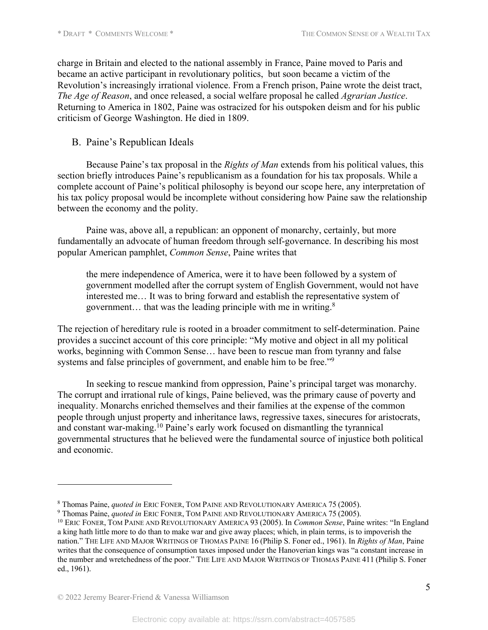charge in Britain and elected to the national assembly in France, Paine moved to Paris and became an active participant in revolutionary politics, but soon became a victim of the Revolution's increasingly irrational violence. From a French prison, Paine wrote the deist tract, *The Age of Reason*, and once released, a social welfare proposal he called *Agrarian Justice*. Returning to America in 1802, Paine was ostracized for his outspoken deism and for his public criticism of George Washington. He died in 1809.

### B. Paine's Republican Ideals

Because Paine's tax proposal in the *Rights of Man* extends from his political values, this section briefly introduces Paine's republicanism as a foundation for his tax proposals. While a complete account of Paine's political philosophy is beyond our scope here, any interpretation of his tax policy proposal would be incomplete without considering how Paine saw the relationship between the economy and the polity.

Paine was, above all, a republican: an opponent of monarchy, certainly, but more fundamentally an advocate of human freedom through self-governance. In describing his most popular American pamphlet, *Common Sense*, Paine writes that

the mere independence of America, were it to have been followed by a system of government modelled after the corrupt system of English Government, would not have interested me… It was to bring forward and establish the representative system of government… that was the leading principle with me in writing.8

The rejection of hereditary rule is rooted in a broader commitment to self-determination. Paine provides a succinct account of this core principle: "My motive and object in all my political works, beginning with Common Sense… have been to rescue man from tyranny and false systems and false principles of government, and enable him to be free."<sup>9</sup>

In seeking to rescue mankind from oppression, Paine's principal target was monarchy. The corrupt and irrational rule of kings, Paine believed, was the primary cause of poverty and inequality. Monarchs enriched themselves and their families at the expense of the common people through unjust property and inheritance laws, regressive taxes, sinecures for aristocrats, and constant war-making. <sup>10</sup> Paine's early work focused on dismantling the tyrannical governmental structures that he believed were the fundamental source of injustice both political and economic.

<sup>8</sup> Thomas Paine, *quoted in* ERIC FONER, TOM PAINE AND REVOLUTIONARY AMERICA 75 (2005).

<sup>9</sup> Thomas Paine, *quoted in* ERIC FONER, TOM PAINE AND REVOLUTIONARY AMERICA 75 (2005).

<sup>10</sup> ERIC FONER, TOM PAINE AND REVOLUTIONARY AMERICA 93 (2005). In *Common Sense*, Paine writes: "In England a king hath little more to do than to make war and give away places; which, in plain terms, is to impoverish the nation." THE LIFE AND MAJOR WRITINGS OF THOMAS PAINE 16 (Philip S. Foner ed., 1961). In *Rights of Man*, Paine writes that the consequence of consumption taxes imposed under the Hanoverian kings was "a constant increase in the number and wretchedness of the poor." THE LIFE AND MAJOR WRITINGS OF THOMAS PAINE 411 (Philip S. Foner ed., 1961).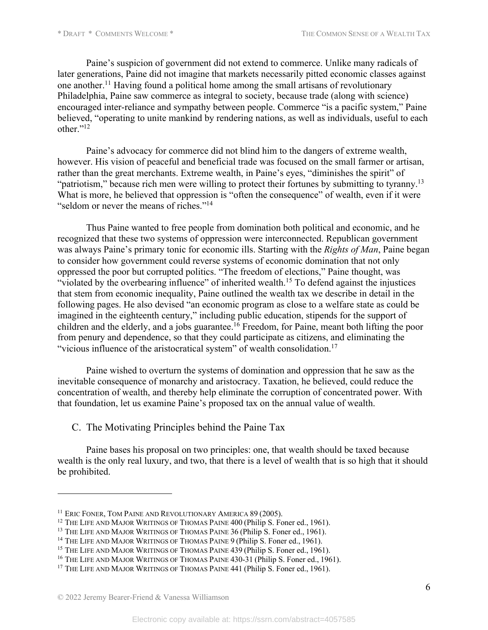Paine's suspicion of government did not extend to commerce. Unlike many radicals of later generations, Paine did not imagine that markets necessarily pitted economic classes against one another. <sup>11</sup> Having found a political home among the small artisans of revolutionary Philadelphia, Paine saw commerce as integral to society, because trade (along with science) encouraged inter-reliance and sympathy between people. Commerce "is a pacific system," Paine believed, "operating to unite mankind by rendering nations, as well as individuals, useful to each other."<sup>12</sup>

Paine's advocacy for commerce did not blind him to the dangers of extreme wealth, however. His vision of peaceful and beneficial trade was focused on the small farmer or artisan, rather than the great merchants. Extreme wealth, in Paine's eyes, "diminishes the spirit" of "patriotism," because rich men were willing to protect their fortunes by submitting to tyranny.<sup>13</sup> What is more, he believed that oppression is "often the consequence" of wealth, even if it were "seldom or never the means of riches."14

Thus Paine wanted to free people from domination both political and economic, and he recognized that these two systems of oppression were interconnected. Republican government was always Paine's primary tonic for economic ills. Starting with the *Rights of Man*, Paine began to consider how government could reverse systems of economic domination that not only oppressed the poor but corrupted politics. "The freedom of elections," Paine thought, was "violated by the overbearing influence" of inherited wealth.<sup>15</sup> To defend against the injustices that stem from economic inequality, Paine outlined the wealth tax we describe in detail in the following pages. He also devised "an economic program as close to a welfare state as could be imagined in the eighteenth century," including public education, stipends for the support of children and the elderly, and a jobs guarantee.<sup>16</sup> Freedom, for Paine, meant both lifting the poor from penury and dependence, so that they could participate as citizens, and eliminating the "vicious influence of the aristocratical system" of wealth consolidation.<sup>17</sup>

Paine wished to overturn the systems of domination and oppression that he saw as the inevitable consequence of monarchy and aristocracy. Taxation, he believed, could reduce the concentration of wealth, and thereby help eliminate the corruption of concentrated power. With that foundation, let us examine Paine's proposed tax on the annual value of wealth.

C. The Motivating Principles behind the Paine Tax

Paine bases his proposal on two principles: one, that wealth should be taxed because wealth is the only real luxury, and two, that there is a level of wealth that is so high that it should be prohibited.

<sup>&</sup>lt;sup>11</sup> ERIC FONER, TOM PAINE AND REVOLUTIONARY AMERICA 89 (2005).

<sup>&</sup>lt;sup>12</sup> THE LIFE AND MAJOR WRITINGS OF THOMAS PAINE 400 (Philip S. Foner ed., 1961).

<sup>&</sup>lt;sup>13</sup> THE LIFE AND MAJOR WRITINGS OF THOMAS PAINE 36 (Philip S. Foner ed., 1961).

<sup>&</sup>lt;sup>14</sup> THE LIFE AND MAJOR WRITINGS OF THOMAS PAINE 9 (Philip S. Foner ed., 1961).

<sup>&</sup>lt;sup>15</sup> THE LIFE AND MAJOR WRITINGS OF THOMAS PAINE 439 (Philip S. Foner ed., 1961).

<sup>&</sup>lt;sup>16</sup> THE LIFE AND MAJOR WRITINGS OF THOMAS PAINE 430-31 (Philip S. Foner ed., 1961).

<sup>&</sup>lt;sup>17</sup> THE LIFE AND MAJOR WRITINGS OF THOMAS PAINE 441 (Philip S. Foner ed., 1961).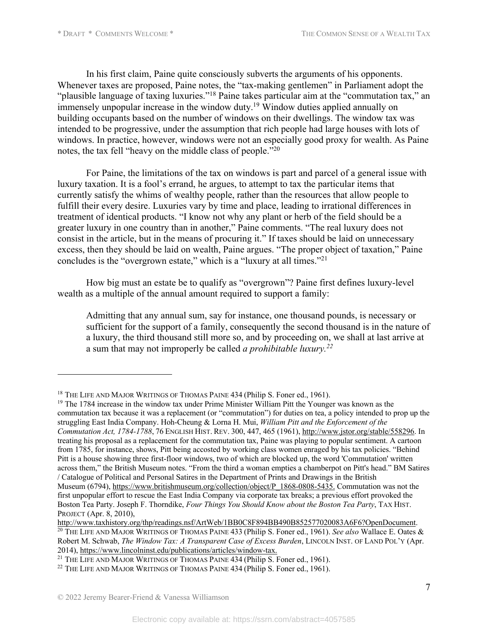In his first claim, Paine quite consciously subverts the arguments of his opponents. Whenever taxes are proposed, Paine notes, the "tax-making gentlemen" in Parliament adopt the "plausible language of taxing luxuries."18 Paine takes particular aim at the "commutation tax," an  $\frac{1}{2}$  immensely unpopular increase in the window duty.<sup>19</sup> Window duties applied annually on building occupants based on the number of windows on their dwellings. The window tax was intended to be progressive, under the assumption that rich people had large houses with lots of windows. In practice, however, windows were not an especially good proxy for wealth. As Paine notes, the tax fell "heavy on the middle class of people."20

For Paine, the limitations of the tax on windows is part and parcel of a general issue with luxury taxation. It is a fool's errand, he argues, to attempt to tax the particular items that currently satisfy the whims of wealthy people, rather than the resources that allow people to fulfill their every desire. Luxuries vary by time and place, leading to irrational differences in treatment of identical products. "I know not why any plant or herb of the field should be a greater luxury in one country than in another," Paine comments. "The real luxury does not consist in the article, but in the means of procuring it." If taxes should be laid on unnecessary excess, then they should be laid on wealth, Paine argues. "The proper object of taxation," Paine concludes is the "overgrown estate," which is a "luxury at all times."21

How big must an estate be to qualify as "overgrown"? Paine first defines luxury-level wealth as a multiple of the annual amount required to support a family:

Admitting that any annual sum, say for instance, one thousand pounds, is necessary or sufficient for the support of a family, consequently the second thousand is in the nature of a luxury, the third thousand still more so, and by proceeding on, we shall at last arrive at a sum that may not improperly be called *a prohibitable luxury.22*

<sup>&</sup>lt;sup>18</sup> THE LIFE AND MAJOR WRITINGS OF THOMAS PAINE 434 (Philip S. Foner ed., 1961).

<sup>&</sup>lt;sup>19</sup> The 1784 increase in the window tax under Prime Minister William Pitt the Younger was known as the commutation tax because it was a replacement (or "commutation") for duties on tea, a policy intended to prop up the struggling East India Company. Hoh-Cheung & Lorna H. Mui, *William Pitt and the Enforcement of the Commutation Act, 1784-1788*, 76 ENGLISH HIST. REV. 300, 447, 465 (1961), http://www.jstor.org/stable/558296. In treating his proposal as a replacement for the commutation tax, Paine was playing to popular sentiment. A cartoon from 1785, for instance, shows, Pitt being accosted by working class women enraged by his tax policies. "Behind Pitt is a house showing three first-floor windows, two of which are blocked up, the word 'Commutation' written across them," the British Museum notes. "From the third a woman empties a chamberpot on Pitt's head." BM Satires / Catalogue of Political and Personal Satires in the Department of Prints and Drawings in the British Museum (6794), https://www.britishmuseum.org/collection/object/P\_1868-0808-5435. Commutation was not the first unpopular effort to rescue the East India Company via corporate tax breaks; a previous effort provoked the Boston Tea Party. Joseph F. Thorndike, *Four Things You Should Know about the Boston Tea Party*, TAX HIST. PROJECT (Apr. 8, 2010),

http://www.taxhistory.org/thp/readings.nsf/ArtWeb/1BB0C8F894BB490B852577020083A6F6?OpenDocument. <sup>20</sup> THE LIFE AND MAJOR WRITINGS OF THOMAS PAINE 433 (Philip S. Foner ed., 1961). *See also* Wallace E. Oates & Robert M. Schwab, *The Window Tax: A Transparent Case of Excess Burden*, LINCOLN INST. OF LAND POL'Y (Apr. 2014), https://www.lincolninst.edu/publications/articles/window-tax.

<sup>&</sup>lt;sup>21</sup> THE LIFE AND MAJOR WRITINGS OF THOMAS PAINE 434 (Philip S. Foner ed., 1961).

<sup>&</sup>lt;sup>22</sup> THE LIFE AND MAJOR WRITINGS OF THOMAS PAINE 434 (Philip S. Foner ed., 1961).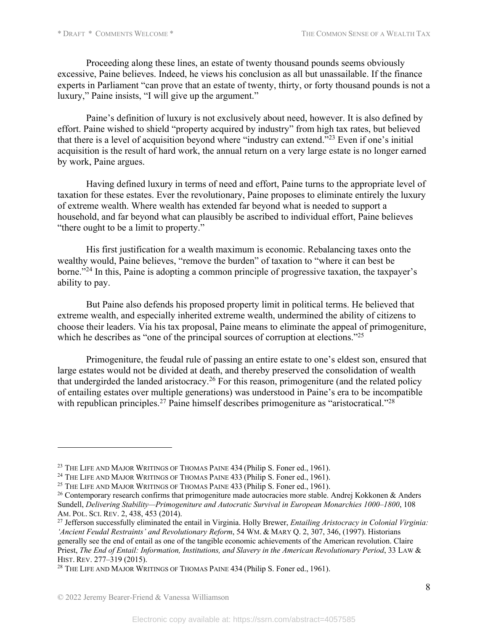Proceeding along these lines, an estate of twenty thousand pounds seems obviously excessive, Paine believes. Indeed, he views his conclusion as all but unassailable. If the finance experts in Parliament "can prove that an estate of twenty, thirty, or forty thousand pounds is not a luxury," Paine insists, "I will give up the argument."

Paine's definition of luxury is not exclusively about need, however. It is also defined by effort. Paine wished to shield "property acquired by industry" from high tax rates, but believed that there is a level of acquisition beyond where "industry can extend."23 Even if one's initial acquisition is the result of hard work, the annual return on a very large estate is no longer earned by work, Paine argues.

Having defined luxury in terms of need and effort, Paine turns to the appropriate level of taxation for these estates. Ever the revolutionary, Paine proposes to eliminate entirely the luxury of extreme wealth. Where wealth has extended far beyond what is needed to support a household, and far beyond what can plausibly be ascribed to individual effort, Paine believes "there ought to be a limit to property."

His first justification for a wealth maximum is economic. Rebalancing taxes onto the wealthy would, Paine believes, "remove the burden" of taxation to "where it can best be borne."<sup>24</sup> In this, Paine is adopting a common principle of progressive taxation, the taxpayer's ability to pay.

But Paine also defends his proposed property limit in political terms. He believed that extreme wealth, and especially inherited extreme wealth, undermined the ability of citizens to choose their leaders. Via his tax proposal, Paine means to eliminate the appeal of primogeniture, which he describes as "one of the principal sources of corruption at elections."<sup>25</sup>

Primogeniture, the feudal rule of passing an entire estate to one's eldest son, ensured that large estates would not be divided at death, and thereby preserved the consolidation of wealth that undergirded the landed aristocracy.<sup>26</sup> For this reason, primogeniture (and the related policy of entailing estates over multiple generations) was understood in Paine's era to be incompatible with republican principles.<sup>27</sup> Paine himself describes primogeniture as "aristocratical."<sup>28</sup>

<sup>&</sup>lt;sup>23</sup> THE LIFE AND MAJOR WRITINGS OF THOMAS PAINE 434 (Philip S. Foner ed., 1961).

<sup>&</sup>lt;sup>24</sup> THE LIFE AND MAJOR WRITINGS OF THOMAS PAINE 433 (Philip S. Foner ed., 1961).

<sup>&</sup>lt;sup>25</sup> THE LIFE AND MAJOR WRITINGS OF THOMAS PAINE 433 (Philip S. Foner ed., 1961).

<sup>&</sup>lt;sup>26</sup> Contemporary research confirms that primogeniture made autocracies more stable. Andrej Kokkonen & Anders Sundell, *Delivering Stability—Primogeniture and Autocratic Survival in European Monarchies 1000–1800*, 108 AM. POL. SCI. REV. 2, 438, 453 (2014).

<sup>27</sup> Jefferson successfully eliminated the entail in Virginia. Holly Brewer, *Entailing Aristocracy in Colonial Virginia: 'Ancient Feudal Restraints' and Revolutionary Reform*, 54 WM. & MARY Q. 2, 307, 346, (1997). Historians generally see the end of entail as one of the tangible economic achievements of the American revolution. Claire Priest, *The End of Entail: Information, Institutions, and Slavery in the American Revolutionary Period*, 33 LAW & HIST. REV. 277–319 (2015).

<sup>&</sup>lt;sup>28</sup> THE LIFE AND MAJOR WRITINGS OF THOMAS PAINE 434 (Philip S. Foner ed., 1961).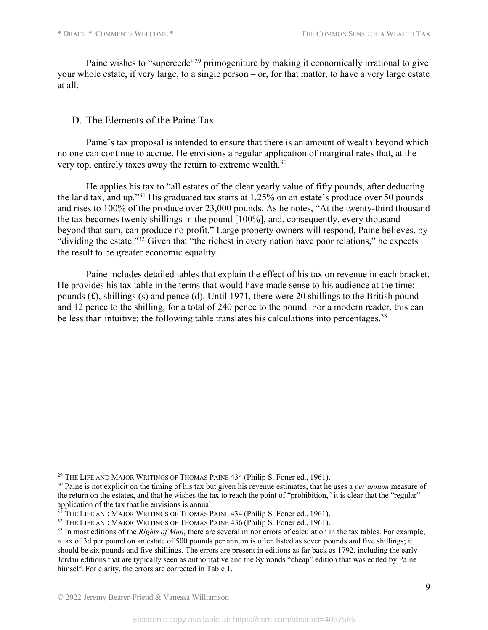Paine wishes to "supercede"<sup>29</sup> primogeniture by making it economically irrational to give your whole estate, if very large, to a single person – or, for that matter, to have a very large estate at all.

### D. The Elements of the Paine Tax

Paine's tax proposal is intended to ensure that there is an amount of wealth beyond which no one can continue to accrue. He envisions a regular application of marginal rates that, at the very top, entirely taxes away the return to extreme wealth.<sup>30</sup>

He applies his tax to "all estates of the clear yearly value of fifty pounds, after deducting the land tax, and up."31 His graduated tax starts at 1.25% on an estate's produce over 50 pounds and rises to 100% of the produce over 23,000 pounds. As he notes, "At the twenty-third thousand the tax becomes twenty shillings in the pound [100%], and, consequently, every thousand beyond that sum, can produce no profit." Large property owners will respond, Paine believes, by "dividing the estate."<sup>32</sup> Given that "the richest in every nation have poor relations," he expects the result to be greater economic equality.

Paine includes detailed tables that explain the effect of his tax on revenue in each bracket. He provides his tax table in the terms that would have made sense to his audience at the time: pounds (£), shillings (s) and pence (d). Until 1971, there were 20 shillings to the British pound and 12 pence to the shilling, for a total of 240 pence to the pound. For a modern reader, this can be less than intuitive; the following table translates his calculations into percentages.<sup>33</sup>

<sup>&</sup>lt;sup>29</sup> THE LIFE AND MAJOR WRITINGS OF THOMAS PAINE 434 (Philip S. Foner ed., 1961).

<sup>30</sup> Paine is not explicit on the timing of his tax but given his revenue estimates, that he uses a *per annum* measure of the return on the estates, and that he wishes the tax to reach the point of "prohibition," it is clear that the "regular" application of the tax that he envisions is annual.

<sup>&</sup>lt;sup>31</sup> THE LIFE AND MAJOR WRITINGS OF THOMAS PAINE 434 (Philip S. Foner ed., 1961).

<sup>&</sup>lt;sup>32</sup> THE LIFE AND MAJOR WRITINGS OF THOMAS PAINE 436 (Philip S. Foner ed., 1961).

<sup>&</sup>lt;sup>33</sup> In most editions of the *Rights of Man*, there are several minor errors of calculation in the tax tables. For example, a tax of 3d per pound on an estate of 500 pounds per annum is often listed as seven pounds and five shillings; it should be six pounds and five shillings. The errors are present in editions as far back as 1792, including the early Jordan editions that are typically seen as authoritative and the Symonds "cheap" edition that was edited by Paine himself. For clarity, the errors are corrected in Table 1.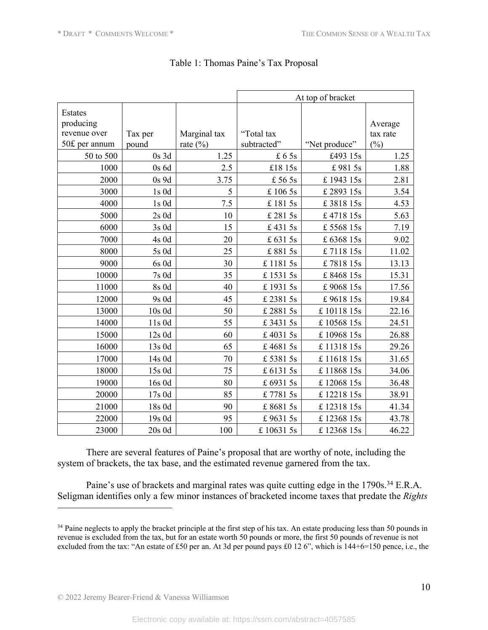|                                      |           |              | At top of bracket |               |                     |
|--------------------------------------|-----------|--------------|-------------------|---------------|---------------------|
| Estates<br>producing<br>revenue over | Tax per   | Marginal tax | "Total tax        |               | Average<br>tax rate |
| 50£ per annum                        | pound     | rate $(\%)$  | subtracted"       | "Net produce" | (%)                 |
| 50 to 500                            | $0s$ 3d   | 1.25         | £ 65s             | £493 15s      | 1.25                |
| 1000                                 | 0s6d      | 2.5          | £18 15s           | £9815s        | 1.88                |
| 2000                                 | 0s 9d     | 3.75         | £ 56 5s           | £194315s      | 2.81                |
| 3000                                 | $1s$ $0d$ | 5            | £ 106 5s          | £ 2893 15s    | 3.54                |
| 4000                                 | 1s0d      | $7.5\,$      | £ 181 5s          | £381815s      | 4.53                |
| 5000                                 | $2s$ 0d   | 10           | £ 281 5s          | £471815s      | 5.63                |
| 6000                                 | 3s0d      | 15           | £4315s            | £556815s      | 7.19                |
| 7000                                 | 4s 0d     | 20           | £ 631 5s          | £636815s      | 9.02                |
| 8000                                 | 5s 0d     | 25           | £8815s            | £711815s      | 11.02               |
| 9000                                 | 6s 0d     | 30           | £ 1181 5s         | £781815s      | 13.13               |
| 10000                                | $7s$ 0d   | 35           | £ 1531 5s         | £846815s      | 15.31               |
| 11000                                | 8s 0d     | 40           | £ 1931 5s         | £906815s      | 17.56               |
| 12000                                | 9s 0d     | 45           | £ 2381 5s         | £961815s      | 19.84               |
| 13000                                | 10s0d     | 50           | £ 2881 5s         | £1011815s     | 22.16               |
| 14000                                | 11s 0d    | 55           | £34315s           | £1056815s     | 24.51               |
| 15000                                | 12s 0d    | 60           | £40315s           | £1096815s     | 26.88               |
| 16000                                | 13s 0d    | 65           | £46815s           | £1131815s     | 29.26               |
| 17000                                | 14s 0d    | 70           | £53815s           | £1161815s     | 31.65               |
| 18000                                | 15s 0d    | 75           | £ 6131 5s         | £1186815s     | 34.06               |
| 19000                                | 16s 0d    | 80           | £ 6931 5s         | £1206815s     | 36.48               |
| 20000                                | 17s 0d    | 85           | £77815s           | £1221815s     | 38.91               |
| 21000                                | 18s 0d    | 90           | £86815s           | £1231815s     | 41.34               |
| 22000                                | 19s 0d    | 95           | £96315s           | £1236815s     | 43.78               |
| 23000                                | $20s$ 0d  | 100          | £ 10631 5s        | £1236815s     | 46.22               |

### Table 1: Thomas Paine's Tax Proposal

There are several features of Paine's proposal that are worthy of note, including the system of brackets, the tax base, and the estimated revenue garnered from the tax.

Paine's use of brackets and marginal rates was quite cutting edge in the 1790s.<sup>34</sup> E.R.A. Seligman identifies only a few minor instances of bracketed income taxes that predate the *Rights* 

<sup>&</sup>lt;sup>34</sup> Paine neglects to apply the bracket principle at the first step of his tax. An estate producing less than 50 pounds in revenue is excluded from the tax, but for an estate worth 50 pounds or more, the first 50 pounds of revenue is not excluded from the tax: "An estate of £50 per an. At 3d per pound pays £0 12 6", which is 144+6=150 pence, i.e., the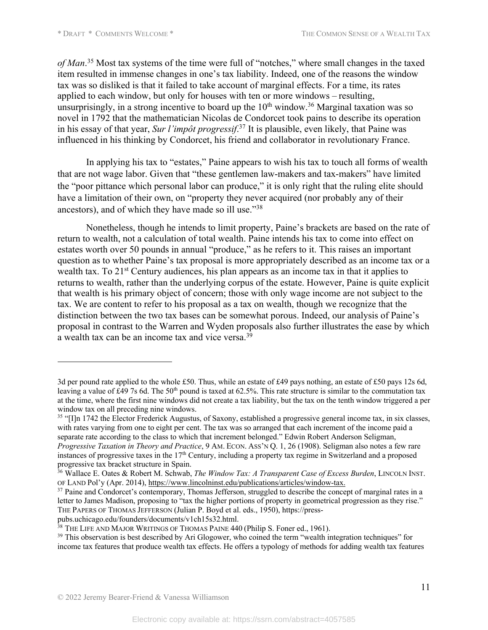*of Man*. <sup>35</sup> Most tax systems of the time were full of "notches," where small changes in the taxed item resulted in immense changes in one's tax liability. Indeed, one of the reasons the window tax was so disliked is that it failed to take account of marginal effects. For a time, its rates applied to each window, but only for houses with ten or more windows – resulting, unsurprisingly, in a strong incentive to board up the  $10<sup>th</sup>$  window.<sup>36</sup> Marginal taxation was so novel in 1792 that the mathematician Nicolas de Condorcet took pains to describe its operation in his essay of that year, *Sur l'impôt progressif*. <sup>37</sup> It is plausible, even likely, that Paine was influenced in his thinking by Condorcet, his friend and collaborator in revolutionary France.

In applying his tax to "estates," Paine appears to wish his tax to touch all forms of wealth that are not wage labor. Given that "these gentlemen law-makers and tax-makers" have limited the "poor pittance which personal labor can produce," it is only right that the ruling elite should have a limitation of their own, on "property they never acquired (nor probably any of their ancestors), and of which they have made so ill use."38

Nonetheless, though he intends to limit property, Paine's brackets are based on the rate of return to wealth, not a calculation of total wealth. Paine intends his tax to come into effect on estates worth over 50 pounds in annual "produce," as he refers to it. This raises an important question as to whether Paine's tax proposal is more appropriately described as an income tax or a wealth tax. To 21<sup>st</sup> Century audiences, his plan appears as an income tax in that it applies to returns to wealth, rather than the underlying corpus of the estate. However, Paine is quite explicit that wealth is his primary object of concern; those with only wage income are not subject to the tax. We are content to refer to his proposal as a tax on wealth, though we recognize that the distinction between the two tax bases can be somewhat porous. Indeed, our analysis of Paine's proposal in contrast to the Warren and Wyden proposals also further illustrates the ease by which a wealth tax can be an income tax and vice versa. $^{39}$ 

<sup>3</sup>d per pound rate applied to the whole £50. Thus, while an estate of £49 pays nothing, an estate of £50 pays 12s 6d, leaving a value of  $\hat{E}49$  7s 6d. The 50<sup>th</sup> pound is taxed at 62.5%. This rate structure is similar to the commutation tax at the time, where the first nine windows did not create a tax liability, but the tax on the tenth window triggered a per window tax on all preceding nine windows.

 $35$  "[I]n 1742 the Elector Frederick Augustus, of Saxony, established a progressive general income tax, in six classes, with rates varying from one to eight per cent. The tax was so arranged that each increment of the income paid a separate rate according to the class to which that increment belonged." Edwin Robert Anderson Seligman, *Progressive Taxation in Theory and Practice*, 9 AM. ECON. ASS'N Q. 1, 26 (1908). Seligman also notes a few rare instances of progressive taxes in the  $17<sup>th</sup>$  Century, including a property tax regime in Switzerland and a proposed progressive tax bracket structure in Spain.

<sup>36</sup> Wallace E. Oates & Robert M. Schwab, *The Window Tax: A Transparent Case of Excess Burden*, LINCOLN INST. OF LAND Pol'y (Apr. 2014), https://www.lincolninst.edu/publications/articles/window-tax.

<sup>&</sup>lt;sup>37</sup> Paine and Condorcet's contemporary, Thomas Jefferson, struggled to describe the concept of marginal rates in a letter to James Madison, proposing to "tax the higher portions of property in geometrical progression as they rise." THE PAPERS OF THOMAS JEFFERSON (Julian P. Boyd et al. eds., 1950), https://presspubs.uchicago.edu/founders/documents/v1ch15s32.html.

<sup>&</sup>lt;sup>38</sup> THE LIFE AND MAJOR WRITINGS OF THOMAS PAINE 440 (Philip S. Foner ed., 1961). <sup>39</sup> This observation is best described by Ari Glogower, who coined the term "wealth integration techniques" for

income tax features that produce wealth tax effects. He offers a typology of methods for adding wealth tax features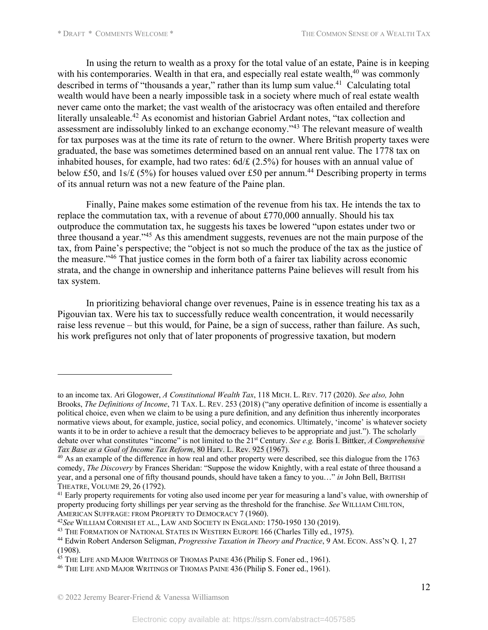In using the return to wealth as a proxy for the total value of an estate, Paine is in keeping with his contemporaries. Wealth in that era, and especially real estate wealth, $40$  was commonly described in terms of "thousands a year," rather than its lump sum value.<sup>41</sup> Calculating total wealth would have been a nearly impossible task in a society where much of real estate wealth never came onto the market; the vast wealth of the aristocracy was often entailed and therefore literally unsaleable.42 As economist and historian Gabriel Ardant notes, "tax collection and assessment are indissolubly linked to an exchange economy."43 The relevant measure of wealth for tax purposes was at the time its rate of return to the owner. Where British property taxes were graduated, the base was sometimes determined based on an annual rent value. The 1778 tax on inhabited houses, for example, had two rates:  $6d/f$  (2.5%) for houses with an annual value of below £50, and 1s/ $\angle$  (5%) for houses valued over £50 per annum.<sup>44</sup> Describing property in terms of its annual return was not a new feature of the Paine plan.

Finally, Paine makes some estimation of the revenue from his tax. He intends the tax to replace the commutation tax, with a revenue of about £770,000 annually. Should his tax outproduce the commutation tax, he suggests his taxes be lowered "upon estates under two or three thousand a year."45 As this amendment suggests, revenues are not the main purpose of the tax, from Paine's perspective; the "object is not so much the produce of the tax as the justice of the measure."46 That justice comes in the form both of a fairer tax liability across economic strata, and the change in ownership and inheritance patterns Paine believes will result from his tax system.

In prioritizing behavioral change over revenues, Paine is in essence treating his tax as a Pigouvian tax. Were his tax to successfully reduce wealth concentration, it would necessarily raise less revenue – but this would, for Paine, be a sign of success, rather than failure. As such, his work prefigures not only that of later proponents of progressive taxation, but modern

to an income tax. Ari Glogower, *A Constitutional Wealth Tax*, 118 MICH. L. REV. 717 (2020). *See also,* John Brooks, *The Definitions of Income*, 71 TAX. L. REV. 253 (2018) ("any operative definition of income is essentially a political choice, even when we claim to be using a pure definition, and any definition thus inherently incorporates normative views about, for example, justice, social policy, and economics. Ultimately, 'income' is whatever society wants it to be in order to achieve a result that the democracy believes to be appropriate and just."). The scholarly debate over what constitutes "income" is not limited to the 21st Century. *See e.g.* Boris I. Bittker, *A Comprehensive Tax Base as a Goal of Income Tax Reform*, 80 Harv. L. Rev. 925 (1967).

<sup>&</sup>lt;sup>40</sup> As an example of the difference in how real and other property were described, see this dialogue from the 1763 comedy, *The Discovery* by Frances Sheridan: "Suppose the widow Knightly, with a real estate of three thousand a year, and a personal one of fifty thousand pounds, should have taken a fancy to you…" *in* John Bell, BRITISH THEATRE, VOLUME 29, 26 (1792).

<sup>&</sup>lt;sup>41</sup> Early property requirements for voting also used income per year for measuring a land's value, with ownership of property producing forty shillings per year serving as the threshold for the franchise. *See* WILLIAM CHILTON,

AMERICAN SUFFRAGE: FROM PROPERTY TO DEMOCRACY 7 (1960).<br><sup>42</sup>See WILLIAM CORNISH ET AL., LAW AND SOCIETY IN ENGLAND: 1750-1950 130 (2019).<br><sup>43</sup> THE FORMATION OF NATIONAL STATES IN WESTERN EUROPE 166 (Charles Tilly ed., 1975

<sup>44</sup> Edwin Robert Anderson Seligman, *Progressive Taxation in Theory and Practice*, 9 AM. ECON. ASS'N Q. 1, 27 (1908).

<sup>&</sup>lt;sup>45</sup> THE LIFE AND MAJOR WRITINGS OF THOMAS PAINE 436 (Philip S. Foner ed., 1961).

<sup>&</sup>lt;sup>46</sup> THE LIFE AND MAJOR WRITINGS OF THOMAS PAINE 436 (Philip S. Foner ed., 1961).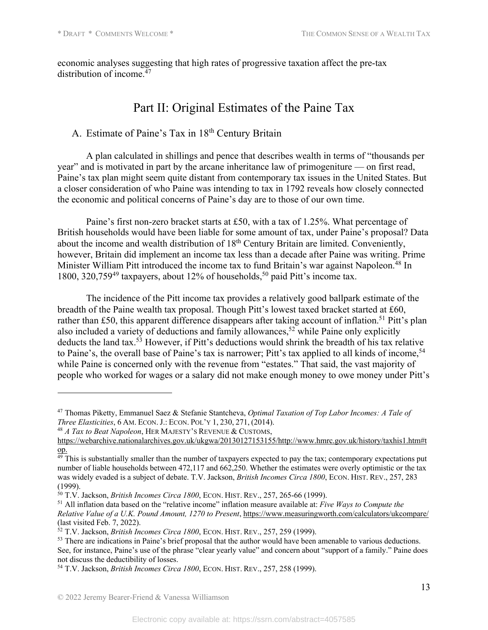economic analyses suggesting that high rates of progressive taxation affect the pre-tax distribution of income.<sup>47</sup>

# Part II: Original Estimates of the Paine Tax

## A. Estimate of Paine's Tax in 18th Century Britain

A plan calculated in shillings and pence that describes wealth in terms of "thousands per year" and is motivated in part by the arcane inheritance law of primogeniture — on first read, Paine's tax plan might seem quite distant from contemporary tax issues in the United States. But a closer consideration of who Paine was intending to tax in 1792 reveals how closely connected the economic and political concerns of Paine's day are to those of our own time.

Paine's first non-zero bracket starts at £50, with a tax of 1.25%. What percentage of British households would have been liable for some amount of tax, under Paine's proposal? Data about the income and wealth distribution of 18<sup>th</sup> Century Britain are limited. Conveniently, however, Britain did implement an income tax less than a decade after Paine was writing. Prime Minister William Pitt introduced the income tax to fund Britain's war against Napoleon.<sup>48</sup> In 1800, 320,759<sup>49</sup> taxpayers, about 12% of households,<sup>50</sup> paid Pitt's income tax.

The incidence of the Pitt income tax provides a relatively good ballpark estimate of the breadth of the Paine wealth tax proposal. Though Pitt's lowest taxed bracket started at £60, rather than £50, this apparent difference disappears after taking account of inflation.<sup>51</sup> Pitt's plan also included a variety of deductions and family allowances,<sup>52</sup> while Paine only explicitly deducts the land tax.<sup>53</sup> However, if Pitt's deductions would shrink the breadth of his tax relative to Paine's, the overall base of Paine's tax is narrower; Pitt's tax applied to all kinds of income,<sup>54</sup> while Paine is concerned only with the revenue from "estates." That said, the vast majority of people who worked for wages or a salary did not make enough money to owe money under Pitt's

<sup>47</sup> Thomas Piketty, Emmanuel Saez & Stefanie Stantcheva, *Optimal Taxation of Top Labor Incomes: A Tale of Three Elasticities*, 6 AM. ECON. J.: ECON. POL'Y 1, 230, 271, (2014).

<sup>48</sup> *A Tax to Beat Napoleon*, HER MAJESTY'S REVENUE & CUSTOMS,

https://webarchive.nationalarchives.gov.uk/ukgwa/20130127153155/http://www.hmrc.gov.uk/history/taxhis1.htm#t op.

<sup>&</sup>lt;sup>49</sup> This is substantially smaller than the number of taxpayers expected to pay the tax; contemporary expectations put number of liable households between 472,117 and 662,250. Whether the estimates were overly optimistic or the tax was widely evaded is a subject of debate. T.V. Jackson, *British Incomes Circa 1800*, ECON. HIST. REV., 257, 283 (1999).<br><sup>50</sup> T.V. Jackson, *British Incomes Circa 1800*, ECON. HIST. REV., 257, 265-66 (1999).

<sup>&</sup>lt;sup>51</sup> All inflation data based on the "relative income" inflation measure available at: *Five Ways to Compute the Relative Value of a U.K. Pound Amount, 1270 to Present*, https://www.measuringworth.com/calculators/ukcompare/ (last visited Feb. 7, 2022).

<sup>52</sup> T.V. Jackson, *British Incomes Circa 1800*, ECON. HIST. REV., 257, 259 (1999).

<sup>&</sup>lt;sup>53</sup> There are indications in Paine's brief proposal that the author would have been amenable to various deductions. See, for instance, Paine's use of the phrase "clear yearly value" and concern about "support of a family." Paine does not discuss the deductibility of losses.

<sup>54</sup> T.V. Jackson, *British Incomes Circa 1800*, ECON. HIST. REV., 257, 258 (1999).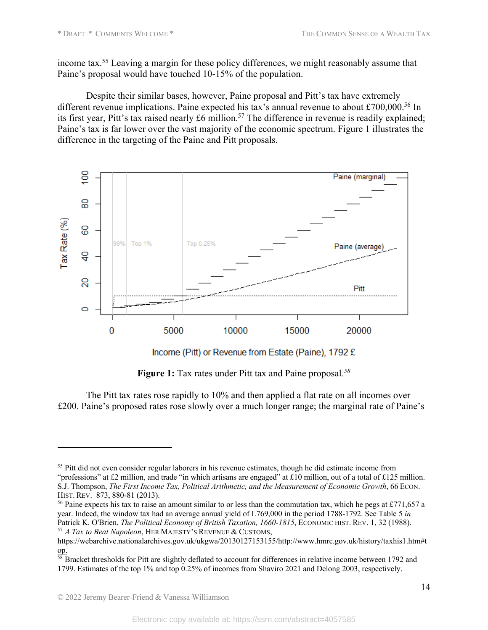income tax.55 Leaving a margin for these policy differences, we might reasonably assume that Paine's proposal would have touched 10-15% of the population.

Despite their similar bases, however, Paine proposal and Pitt's tax have extremely different revenue implications. Paine expected his tax's annual revenue to about £700,000.<sup>56</sup> In its first year, Pitt's tax raised nearly £6 million.<sup>57</sup> The difference in revenue is readily explained; Paine's tax is far lower over the vast majority of the economic spectrum. Figure 1 illustrates the difference in the targeting of the Paine and Pitt proposals.



**Figure 1:** Tax rates under Pitt tax and Paine proposal*. 58*

The Pitt tax rates rose rapidly to 10% and then applied a flat rate on all incomes over £200. Paine's proposed rates rose slowly over a much longer range; the marginal rate of Paine's

<sup>&</sup>lt;sup>55</sup> Pitt did not even consider regular laborers in his revenue estimates, though he did estimate income from "professions" at £2 million, and trade "in which artisans are engaged" at £10 million, out of a total of £125 million. S.J. Thompson, *The First Income Tax, Political Arithmetic, and the Measurement of Economic Growth*, 66 ECON. HIST. REV. 873, 880-81 (2013).

<sup>&</sup>lt;sup>56</sup> Paine expects his tax to raise an amount similar to or less than the commutation tax, which he pegs at £771,657 a year. Indeed, the window tax had an average annual yield of L769,000 in the period 1788-1792. See Table 5 *in* Patrick K. O'Brien, *The Political Economy of British Taxation, 1660-1815*, ECONOMIC HIST. REV. 1, 32 (1988). <sup>57</sup> *A Tax to Beat Napoleon*, HER MAJESTY'S REVENUE & CUSTOMS,

https://webarchive.nationalarchives.gov.uk/ukgwa/20130127153155/http://www.hmrc.gov.uk/history/taxhis1.htm#t op.

<sup>&</sup>lt;sup>58</sup> Bracket thresholds for Pitt are slightly deflated to account for differences in relative income between 1792 and 1799. Estimates of the top 1% and top 0.25% of incomes from Shaviro 2021 and Delong 2003, respectively.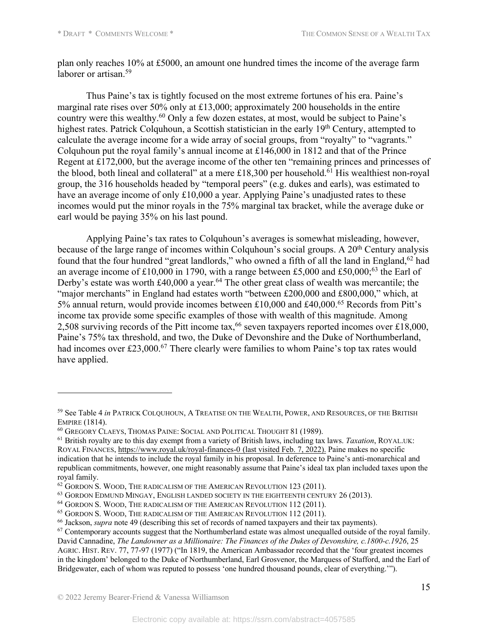plan only reaches 10% at £5000, an amount one hundred times the income of the average farm laborer or artisan.59

Thus Paine's tax is tightly focused on the most extreme fortunes of his era. Paine's marginal rate rises over 50% only at £13,000; approximately 200 households in the entire country were this wealthy.<sup>60</sup> Only a few dozen estates, at most, would be subject to Paine's highest rates. Patrick Colquhoun, a Scottish statistician in the early 19<sup>th</sup> Century, attempted to calculate the average income for a wide array of social groups, from "royalty" to "vagrants." Colquhoun put the royal family's annual income at £146,000 in 1812 and that of the Prince Regent at £172,000, but the average income of the other ten "remaining princes and princesses of the blood, both lineal and collateral" at a mere £18,300 per household.<sup>61</sup> His wealthiest non-royal group, the 316 households headed by "temporal peers" (e.g. dukes and earls), was estimated to have an average income of only £10,000 a year. Applying Paine's unadjusted rates to these incomes would put the minor royals in the 75% marginal tax bracket, while the average duke or earl would be paying 35% on his last pound.

Applying Paine's tax rates to Colquhoun's averages is somewhat misleading, however, because of the large range of incomes within Colquhoun's social groups. A  $20<sup>th</sup>$  Century analysis found that the four hundred "great landlords," who owned a fifth of all the land in England,<sup>62</sup> had an average income of  $£10,000$  in 1790, with a range between  $£5,000$  and  $£50,000;^{63}$  the Earl of Derby's estate was worth  $\text{\pounds}40,000$  a year.<sup>64</sup> The other great class of wealth was mercantile; the "major merchants" in England had estates worth "between £200,000 and £800,000," which, at 5% annual return, would provide incomes between £10,000 and £40,000.65 Records from Pitt's income tax provide some specific examples of those with wealth of this magnitude. Among 2,508 surviving records of the Pitt income tax,  $66$  seven taxpayers reported incomes over £18,000, Paine's 75% tax threshold, and two, the Duke of Devonshire and the Duke of Northumberland, had incomes over £23,000.<sup>67</sup> There clearly were families to whom Paine's top tax rates would have applied.

<sup>59</sup> See Table 4 *in* PATRICK COLQUHOUN, A TREATISE ON THE WEALTH, POWER, AND RESOURCES, OF THE BRITISH EMPIRE (1814).<br><sup>60</sup> Gregory Claeys, Thomas Paine: Social and Political Thought 81 (1989).

<sup>61</sup> British royalty are to this day exempt from a variety of British laws, including tax laws. *Taxation*, ROYAL.UK: ROYAL FINANCES, https://www.royal.uk/royal-finances-0 (last visited Feb. 7, 2022). Paine makes no specific indication that he intends to include the royal family in his proposal. In deference to Paine's anti-monarchical and republican commitments, however, one might reasonably assume that Paine's ideal tax plan included taxes upon the royal family.

<sup>&</sup>lt;sup>62</sup> GORDON S. WOOD, THE RADICALISM OF THE AMERICAN REVOLUTION 123 (2011).

<sup>&</sup>lt;sup>63</sup> GORDON EDMUND MINGAY, ENGLISH LANDED SOCIETY IN THE EIGHTEENTH CENTURY 26 (2013).

<sup>&</sup>lt;sup>64</sup> GORDON S. WOOD, THE RADICALISM OF THE AMERICAN REVOLUTION 112 (2011).

<sup>65</sup> GORDON S. WOOD, THE RADICALISM OF THE AMERICAN REVOLUTION 112 (2011).

<sup>66</sup> Jackson, *supra* note 49 (describing this set of records of named taxpayers and their tax payments).

 $67$  Contemporary accounts suggest that the Northumberland estate was almost unequalled outside of the royal family. David Cannadine, *The Landowner as a Millionaire: The Finances of the Dukes of Devonshire, c.1800-c.1926*, 25 AGRIC. HIST. REV. 77, 77-97 (1977) ("In 1819, the American Ambassador recorded that the 'four greatest incomes in the kingdom' belonged to the Duke of Northumberland, Earl Grosvenor, the Marquess of Stafford, and the Earl of Bridgewater, each of whom was reputed to possess 'one hundred thousand pounds, clear of everything.'").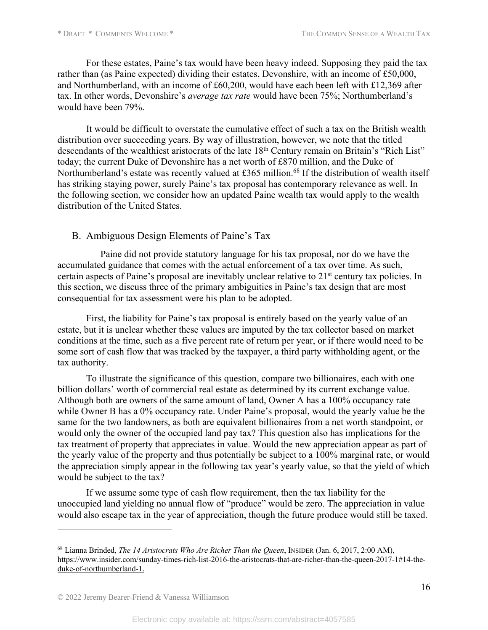For these estates, Paine's tax would have been heavy indeed. Supposing they paid the tax rather than (as Paine expected) dividing their estates, Devonshire, with an income of £50,000, and Northumberland, with an income of £60,200, would have each been left with £12,369 after tax. In other words, Devonshire's *average tax rate* would have been 75%; Northumberland's would have been 79%.

It would be difficult to overstate the cumulative effect of such a tax on the British wealth distribution over succeeding years. By way of illustration, however, we note that the titled descendants of the wealthiest aristocrats of the late 18<sup>th</sup> Century remain on Britain's "Rich List" today; the current Duke of Devonshire has a net worth of £870 million, and the Duke of Northumberland's estate was recently valued at £365 million.<sup>68</sup> If the distribution of wealth itself has striking staying power, surely Paine's tax proposal has contemporary relevance as well. In the following section, we consider how an updated Paine wealth tax would apply to the wealth distribution of the United States.

### B. Ambiguous Design Elements of Paine's Tax

Paine did not provide statutory language for his tax proposal, nor do we have the accumulated guidance that comes with the actual enforcement of a tax over time. As such, certain aspects of Paine's proposal are inevitably unclear relative to 21<sup>st</sup> century tax policies. In this section, we discuss three of the primary ambiguities in Paine's tax design that are most consequential for tax assessment were his plan to be adopted.

First, the liability for Paine's tax proposal is entirely based on the yearly value of an estate, but it is unclear whether these values are imputed by the tax collector based on market conditions at the time, such as a five percent rate of return per year, or if there would need to be some sort of cash flow that was tracked by the taxpayer, a third party withholding agent, or the tax authority.

To illustrate the significance of this question, compare two billionaires, each with one billion dollars' worth of commercial real estate as determined by its current exchange value. Although both are owners of the same amount of land, Owner A has a 100% occupancy rate while Owner B has a 0% occupancy rate. Under Paine's proposal, would the yearly value be the same for the two landowners, as both are equivalent billionaires from a net worth standpoint, or would only the owner of the occupied land pay tax? This question also has implications for the tax treatment of property that appreciates in value. Would the new appreciation appear as part of the yearly value of the property and thus potentially be subject to a 100% marginal rate, or would the appreciation simply appear in the following tax year's yearly value, so that the yield of which would be subject to the tax?

If we assume some type of cash flow requirement, then the tax liability for the unoccupied land yielding no annual flow of "produce" would be zero. The appreciation in value would also escape tax in the year of appreciation, though the future produce would still be taxed.

<sup>68</sup> Lianna Brinded, *The 14 Aristocrats Who Are Richer Than the Queen*, INSIDER (Jan. 6, 2017, 2:00 AM), https://www.insider.com/sunday-times-rich-list-2016-the-aristocrats-that-are-richer-than-the-queen-2017-1#14-theduke-of-northumberland-1.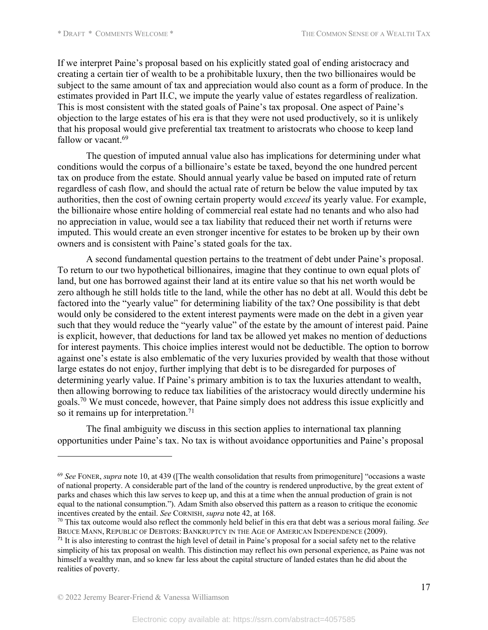If we interpret Paine's proposal based on his explicitly stated goal of ending aristocracy and creating a certain tier of wealth to be a prohibitable luxury, then the two billionaires would be subject to the same amount of tax and appreciation would also count as a form of produce. In the estimates provided in Part II.C, we impute the yearly value of estates regardless of realization. This is most consistent with the stated goals of Paine's tax proposal. One aspect of Paine's objection to the large estates of his era is that they were not used productively, so it is unlikely that his proposal would give preferential tax treatment to aristocrats who choose to keep land fallow or vacant.<sup>69</sup>

The question of imputed annual value also has implications for determining under what conditions would the corpus of a billionaire's estate be taxed, beyond the one hundred percent tax on produce from the estate. Should annual yearly value be based on imputed rate of return regardless of cash flow, and should the actual rate of return be below the value imputed by tax authorities, then the cost of owning certain property would *exceed* its yearly value. For example, the billionaire whose entire holding of commercial real estate had no tenants and who also had no appreciation in value, would see a tax liability that reduced their net worth if returns were imputed. This would create an even stronger incentive for estates to be broken up by their own owners and is consistent with Paine's stated goals for the tax.

A second fundamental question pertains to the treatment of debt under Paine's proposal. To return to our two hypothetical billionaires, imagine that they continue to own equal plots of land, but one has borrowed against their land at its entire value so that his net worth would be zero although he still holds title to the land, while the other has no debt at all. Would this debt be factored into the "yearly value" for determining liability of the tax? One possibility is that debt would only be considered to the extent interest payments were made on the debt in a given year such that they would reduce the "yearly value" of the estate by the amount of interest paid. Paine is explicit, however, that deductions for land tax be allowed yet makes no mention of deductions for interest payments. This choice implies interest would not be deductible. The option to borrow against one's estate is also emblematic of the very luxuries provided by wealth that those without large estates do not enjoy, further implying that debt is to be disregarded for purposes of determining yearly value. If Paine's primary ambition is to tax the luxuries attendant to wealth, then allowing borrowing to reduce tax liabilities of the aristocracy would directly undermine his goals.70 We must concede, however, that Paine simply does not address this issue explicitly and so it remains up for interpretation.<sup>71</sup>

The final ambiguity we discuss in this section applies to international tax planning opportunities under Paine's tax. No tax is without avoidance opportunities and Paine's proposal

<sup>69</sup> *See* FONER, *supra* note 10, at 439 ([The wealth consolidation that results from primogeniture] "occasions a waste of national property. A considerable part of the land of the country is rendered unproductive, by the great extent of parks and chases which this law serves to keep up, and this at a time when the annual production of grain is not equal to the national consumption."). Adam Smith also observed this pattern as a reason to critique the economic incentives created by the entail. *See* CORNISH, *supra* note 42, at 168.

<sup>70</sup> This tax outcome would also reflect the commonly held belief in this era that debt was a serious moral failing. *See* BRUCE MANN, REPUBLIC OF DEBTORS: BANKRUPTCY IN THE AGE OF AMERICAN INDEPENDENCE (2009).

<sup>&</sup>lt;sup>71</sup> It is also interesting to contrast the high level of detail in Paine's proposal for a social safety net to the relative simplicity of his tax proposal on wealth. This distinction may reflect his own personal experience, as Paine was not himself a wealthy man, and so knew far less about the capital structure of landed estates than he did about the realities of poverty.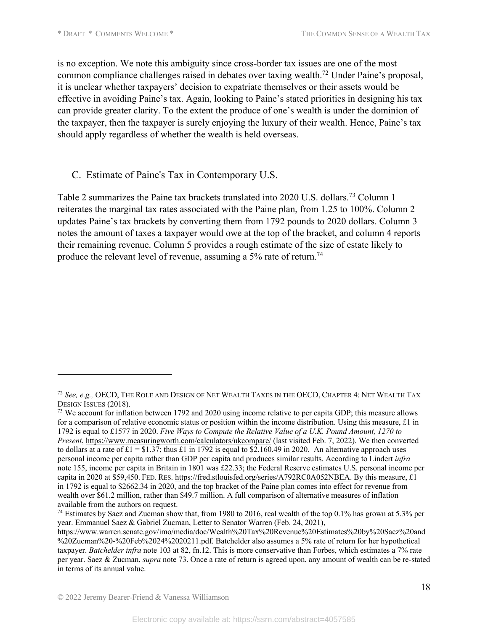is no exception. We note this ambiguity since cross-border tax issues are one of the most common compliance challenges raised in debates over taxing wealth.72 Under Paine's proposal, it is unclear whether taxpayers' decision to expatriate themselves or their assets would be effective in avoiding Paine's tax. Again, looking to Paine's stated priorities in designing his tax can provide greater clarity. To the extent the produce of one's wealth is under the dominion of the taxpayer, then the taxpayer is surely enjoying the luxury of their wealth. Hence, Paine's tax should apply regardless of whether the wealth is held overseas.

### C. Estimate of Paine's Tax in Contemporary U.S.

Table 2 summarizes the Paine tax brackets translated into 2020 U.S. dollars.73 Column 1 reiterates the marginal tax rates associated with the Paine plan, from 1.25 to 100%. Column 2 updates Paine's tax brackets by converting them from 1792 pounds to 2020 dollars. Column 3 notes the amount of taxes a taxpayer would owe at the top of the bracket, and column 4 reports their remaining revenue. Column 5 provides a rough estimate of the size of estate likely to produce the relevant level of revenue, assuming a 5% rate of return.<sup>74</sup>

<sup>72</sup> *See, e.g.,* OECD, THE ROLE AND DESIGN OF NET WEALTH TAXES IN THE OECD, CHAPTER 4: NET WEALTH TAX DESIGN ISSUES (2018).

<sup>&</sup>lt;sup>73</sup> We account for inflation between 1792 and 2020 using income relative to per capita GDP; this measure allows for a comparison of relative economic status or position within the income distribution. Using this measure,  $\pounds 1$  in 1792 is equal to £1577 in 2020. *Five Ways to Compute the Relative Value of a U.K. Pound Amount, 1270 to Present*, https://www.measuringworth.com/calculators/ukcompare/ (last visited Feb. 7, 2022). We then converted to dollars at a rate of  $£1 = $1.37$ ; thus £1 in 1792 is equal to \$2,160.49 in 2020. An alternative approach uses personal income per capita rather than GDP per capita and produces similar results. According to Lindert *infra* note 155, income per capita in Britain in 1801 was £22.33; the Federal Reserve estimates U.S. personal income per capita in 2020 at \$59,450. FED. RES. https://fred.stlouisfed.org/series/A792RC0A052NBEA. By this measure, £1 in 1792 is equal to \$2662.34 in 2020, and the top bracket of the Paine plan comes into effect for revenue from wealth over \$61.2 million, rather than \$49.7 million. A full comparison of alternative measures of inflation available from the authors on request.

<sup>74</sup> Estimates by Saez and Zucman show that, from 1980 to 2016, real wealth of the top 0.1% has grown at 5.3% per year. Emmanuel Saez & Gabriel Zucman, Letter to Senator Warren (Feb. 24, 2021),

https://www.warren.senate.gov/imo/media/doc/Wealth%20Tax%20Revenue%20Estimates%20by%20Saez%20and %20Zucman%20-%20Feb%2024%2020211.pdf. Batchelder also assumes a 5% rate of return for her hypothetical taxpayer. *Batchelder infra* note 103 at 82, fn.12. This is more conservative than Forbes, which estimates a 7% rate per year. Saez & Zucman, *supra* note 73. Once a rate of return is agreed upon, any amount of wealth can be re-stated in terms of its annual value.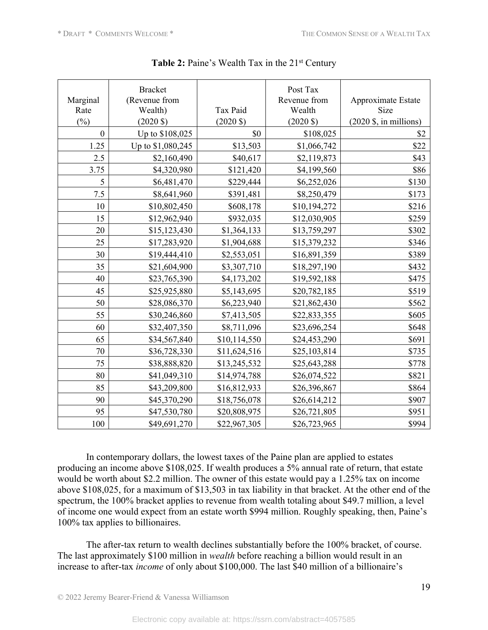|                | <b>Bracket</b>      |                     | Post Tax            |                                        |
|----------------|---------------------|---------------------|---------------------|----------------------------------------|
| Marginal       | (Revenue from       |                     | Revenue from        | Approximate Estate                     |
| Rate           | Wealth)             | Tax Paid            | Wealth              | Size                                   |
| $\binom{0}{0}$ | $(2020 \text{ } $)$ | $(2020 \text{ } $)$ | $(2020 \text{ } $)$ | $(2020 \text{ $}, \text{in millions})$ |
| $\theta$       | Up to \$108,025     | \$0                 | \$108,025           | \$2                                    |
| 1.25           | Up to \$1,080,245   | \$13,503            | \$1,066,742         | \$22                                   |
| 2.5            | \$2,160,490         | \$40,617            | \$2,119,873         | \$43                                   |
| 3.75           | \$4,320,980         | \$121,420           | \$4,199,560         | \$86                                   |
| 5              | \$6,481,470         | \$229,444           | \$6,252,026         | \$130                                  |
| 7.5            | \$8,641,960         | \$391,481           | \$8,250,479         | \$173                                  |
| 10             | \$10,802,450        | \$608,178           | \$10,194,272        | \$216                                  |
| 15             | \$12,962,940        | \$932,035           | \$12,030,905        | \$259                                  |
| 20             | \$15,123,430        | \$1,364,133         | \$13,759,297        | \$302                                  |
| 25             | \$17,283,920        | \$1,904,688         | \$15,379,232        | \$346                                  |
| 30             | \$19,444,410        | \$2,553,051         | \$16,891,359        | \$389                                  |
| 35             | \$21,604,900        | \$3,307,710         | \$18,297,190        | \$432                                  |
| 40             | \$23,765,390        | \$4,173,202         | \$19,592,188        | \$475                                  |
| 45             | \$25,925,880        | \$5,143,695         | \$20,782,185        | \$519                                  |
| 50             | \$28,086,370        | \$6,223,940         | \$21,862,430        | \$562                                  |
| 55             | \$30,246,860        | \$7,413,505         | \$22,833,355        | \$605                                  |
| 60             | \$32,407,350        | \$8,711,096         | \$23,696,254        | \$648                                  |
| 65             | \$34,567,840        | \$10,114,550        | \$24,453,290        | \$691                                  |
| 70             | \$36,728,330        | \$11,624,516        | \$25,103,814        | \$735                                  |
| 75             | \$38,888,820        | \$13,245,532        | \$25,643,288        | \$778                                  |
| 80             | \$41,049,310        | \$14,974,788        | \$26,074,522        | \$821                                  |
| 85             | \$43,209,800        | \$16,812,933        | \$26,396,867        | \$864                                  |
| 90             | \$45,370,290        | \$18,756,078        | \$26,614,212        | \$907                                  |
| 95             | \$47,530,780        | \$20,808,975        | \$26,721,805        | \$951                                  |
| 100            | \$49,691,270        | \$22,967,305        | \$26,723,965        | \$994                                  |

**Table 2:** Paine's Wealth Tax in the 21<sup>st</sup> Century

In contemporary dollars, the lowest taxes of the Paine plan are applied to estates producing an income above \$108,025. If wealth produces a 5% annual rate of return, that estate would be worth about \$2.2 million. The owner of this estate would pay a 1.25% tax on income above \$108,025, for a maximum of \$13,503 in tax liability in that bracket. At the other end of the spectrum, the 100% bracket applies to revenue from wealth totaling about \$49.7 million, a level of income one would expect from an estate worth \$994 million. Roughly speaking, then, Paine's 100% tax applies to billionaires.

The after-tax return to wealth declines substantially before the 100% bracket, of course. The last approximately \$100 million in *wealth* before reaching a billion would result in an increase to after-tax *income* of only about \$100,000. The last \$40 million of a billionaire's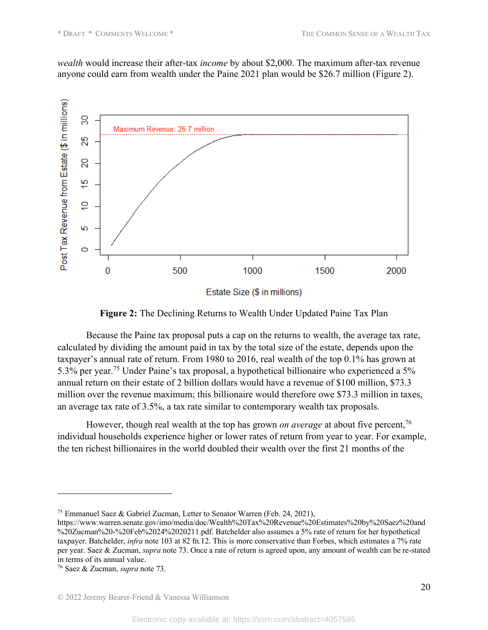*wealth* would increase their after-tax *income* by about \$2,000. The maximum after-tax revenue anyone could earn from wealth under the Paine 2021 plan would be \$26.7 million (Figure 2).



Estate Size (\$ in millions)

**Figure 2:** The Declining Returns to Wealth Under Updated Paine Tax Plan

Because the Paine tax proposal puts a cap on the returns to wealth, the average tax rate, calculated by dividing the amount paid in tax by the total size of the estate, depends upon the taxpayer's annual rate of return. From 1980 to 2016, real wealth of the top 0.1% has grown at 5.3% per year.<sup>75</sup> Under Paine's tax proposal, a hypothetical billionaire who experienced a 5% annual return on their estate of 2 billion dollars would have a revenue of \$100 million, \$73.3 million over the revenue maximum; this billionaire would therefore owe \$73.3 million in taxes, an average tax rate of 3.5%, a tax rate similar to contemporary wealth tax proposals.

However, though real wealth at the top has grown *on average* at about five percent,<sup>76</sup> individual households experience higher or lower rates of return from year to year. For example, the ten richest billionaires in the world doubled their wealth over the first 21 months of the

<sup>75</sup> Emmanuel Saez & Gabriel Zucman, Letter to Senator Warren (Feb. 24, 2021),

https://www.warren.senate.gov/imo/media/doc/Wealth%20Tax%20Revenue%20Estimates%20by%20Saez%20and %20Zucman%20-%20Feb%2024%2020211.pdf. Batchelder also assumes a 5% rate of return for her hypothetical taxpayer. Batchelder, *infra* note 103 at 82 fn.12. This is more conservative than Forbes, which estimates a 7% rate per year. Saez & Zucman, *supra* note 73. Once a rate of return is agreed upon, any amount of wealth can be re-stated in terms of its annual value.

<sup>76</sup> Saez & Zucman, *supra* note 73.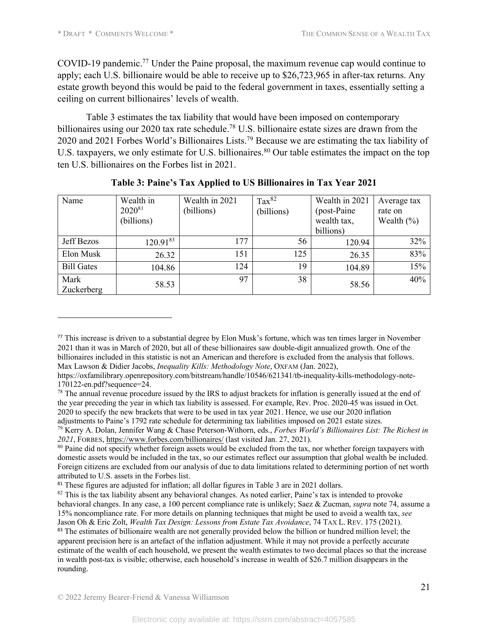COVID-19 pandemic. <sup>77</sup> Under the Paine proposal, the maximum revenue cap would continue to apply; each U.S. billionaire would be able to receive up to \$26,723,965 in after-tax returns. Any estate growth beyond this would be paid to the federal government in taxes, essentially setting a ceiling on current billionaires' levels of wealth.

Table 3 estimates the tax liability that would have been imposed on contemporary billionaires using our 2020 tax rate schedule.<sup>78</sup> U.S. billionaire estate sizes are drawn from the 2020 and 2021 Forbes World's Billionaires Lists.<sup>79</sup> Because we are estimating the tax liability of U.S. taxpayers, we only estimate for U.S. billionaires.<sup>80</sup> Our table estimates the impact on the top ten U.S. billionaires on the Forbes list in 2021.

| Name               | Wealth in<br>$2020^{81}$<br>(billions) | Wealth in 2021<br>(billions) | $\text{Tax}^{82}$<br>(billions) | Wealth in 2021<br>(post-Paine)<br>wealth tax,<br>billions) | Average tax<br>rate on<br>Wealth $(\%)$ |
|--------------------|----------------------------------------|------------------------------|---------------------------------|------------------------------------------------------------|-----------------------------------------|
| Jeff Bezos         | $120.91^{83}$                          | 177                          | 56                              | 120.94                                                     | 32%                                     |
| Elon Musk          | 26.32                                  | 151                          | 125                             | 26.35                                                      | 83%                                     |
| <b>Bill Gates</b>  | 104.86                                 | 124                          | 19                              | 104.89                                                     | 15%                                     |
| Mark<br>Zuckerberg | 58.53                                  | 97                           | 38                              | 58.56                                                      | 40%                                     |

**Table 3: Paine's Tax Applied to US Billionaires in Tax Year 2021**

<sup>77</sup> This increase is driven to a substantial degree by Elon Musk's fortune, which was ten times larger in November 2021 than it was in March of 2020, but all of these billionaires saw double-digit annualized growth. One of the billionaires included in this statistic is not an American and therefore is excluded from the analysis that follows. Max Lawson & Didier Jacobs, *Inequality Kills: Methodology Note*, OXFAM (Jan. 2022),

https://oxfamilibrary.openrepository.com/bitstream/handle/10546/621341/tb-inequality-kills-methodology-note-170122-en.pdf?sequence=24.

<sup>&</sup>lt;sup>78</sup> The annual revenue procedure issued by the IRS to adjust brackets for inflation is generally issued at the end of the year preceding the year in which tax liability is assessed. For example, Rev. Proc. 2020-45 was issued in Oct. 2020 to specify the new brackets that were to be used in tax year 2021. Hence, we use our 2020 inflation adjustments to Paine's 1792 rate schedule for determining tax liabilities imposed on 2021 estate sizes.

<sup>79</sup> Kerry A. Dolan, Jennifer Wang & Chase Peterson-Withorn, eds., *Forbes World's Billionaires List: The Richest in 2021*, FORBES, https://www.forbes.com/billionaires/ (last visited Jan. 27, 2021).

<sup>&</sup>lt;sup>80</sup> Paine did not specify whether foreign assets would be excluded from the tax, nor whether foreign taxpayers with domestic assets would be included in the tax, so our estimates reflect our assumption that global wealth be included. Foreign citizens are excluded from our analysis of due to data limitations related to determining portion of net worth attributed to U.S. assets in the Forbes list.

<sup>&</sup>lt;sup>81</sup> These figures are adjusted for inflation; all dollar figures in Table 3 are in 2021 dollars.

<sup>&</sup>lt;sup>82</sup> This is the tax liability absent any behavioral changes. As noted earlier, Paine's tax is intended to provoke behavioral changes. In any case, a 100 percent compliance rate is unlikely; Saez & Zucman, *supra* note 74, assume a 15% noncompliance rate. For more details on planning techniques that might be used to avoid a wealth tax, *see* Jason Oh & Eric Zolt, *Wealth Tax Design: Lessons from Estate Tax Avoidance*, 74 TAX L. REV. 175 (2021). <sup>83</sup> The estimates of billionaire wealth are not generally provided below the billion or hundred million level; the apparent precision here is an artefact of the inflation adjustment. While it may not provide a perfectly accurate estimate of the wealth of each household, we present the wealth estimates to two decimal places so that the increase in wealth post-tax is visible; otherwise, each household's increase in wealth of \$26.7 million disappears in the rounding.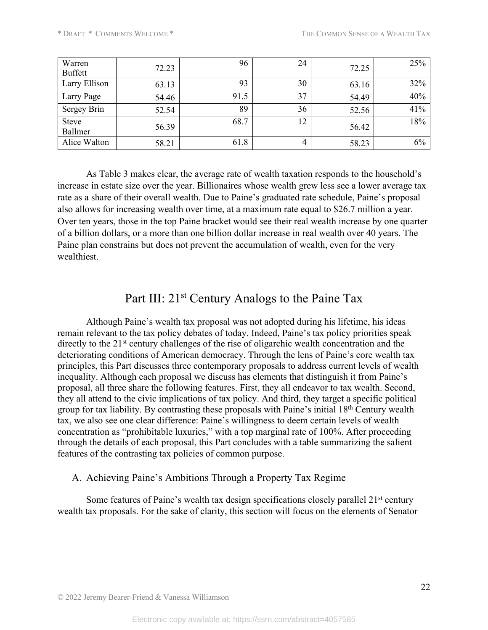| Warren<br><b>Buffett</b> | 72.23 | 96   | 24 | 72.25 | 25% |
|--------------------------|-------|------|----|-------|-----|
| Larry Ellison            | 63.13 | 93   | 30 | 63.16 | 32% |
| Larry Page               | 54.46 | 91.5 | 37 | 54.49 | 40% |
| Sergey Brin              | 52.54 | 89   | 36 | 52.56 | 41% |
| <b>Steve</b><br>Ballmer  | 56.39 | 68.7 | 12 | 56.42 | 18% |
| Alice Walton             | 58.21 | 61.8 | 4  | 58.23 | 6%  |

As Table 3 makes clear, the average rate of wealth taxation responds to the household's increase in estate size over the year. Billionaires whose wealth grew less see a lower average tax rate as a share of their overall wealth. Due to Paine's graduated rate schedule, Paine's proposal also allows for increasing wealth over time, at a maximum rate equal to \$26.7 million a year. Over ten years, those in the top Paine bracket would see their real wealth increase by one quarter of a billion dollars, or a more than one billion dollar increase in real wealth over 40 years. The Paine plan constrains but does not prevent the accumulation of wealth, even for the very wealthiest.

# Part III: 21<sup>st</sup> Century Analogs to the Paine Tax

Although Paine's wealth tax proposal was not adopted during his lifetime, his ideas remain relevant to the tax policy debates of today. Indeed, Paine's tax policy priorities speak directly to the 21<sup>st</sup> century challenges of the rise of oligarchic wealth concentration and the deteriorating conditions of American democracy. Through the lens of Paine's core wealth tax principles, this Part discusses three contemporary proposals to address current levels of wealth inequality. Although each proposal we discuss has elements that distinguish it from Paine's proposal, all three share the following features. First, they all endeavor to tax wealth. Second, they all attend to the civic implications of tax policy. And third, they target a specific political group for tax liability. By contrasting these proposals with Paine's initial 18<sup>th</sup> Century wealth tax, we also see one clear difference: Paine's willingness to deem certain levels of wealth concentration as "prohibitable luxuries," with a top marginal rate of 100%. After proceeding through the details of each proposal, this Part concludes with a table summarizing the salient features of the contrasting tax policies of common purpose.

### A. Achieving Paine's Ambitions Through a Property Tax Regime

Some features of Paine's wealth tax design specifications closely parallel  $21<sup>st</sup>$  century wealth tax proposals. For the sake of clarity, this section will focus on the elements of Senator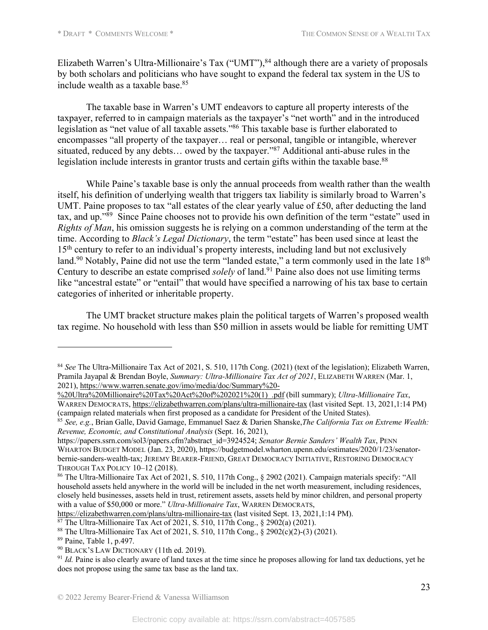Elizabeth Warren's Ultra-Millionaire's Tax ("UMT"),<sup>84</sup> although there are a variety of proposals by both scholars and politicians who have sought to expand the federal tax system in the US to include wealth as a taxable base.85

The taxable base in Warren's UMT endeavors to capture all property interests of the taxpayer, referred to in campaign materials as the taxpayer's "net worth" and in the introduced legislation as "net value of all taxable assets."<sup>86</sup> This taxable base is further elaborated to encompasses "all property of the taxpayer… real or personal, tangible or intangible, wherever situated, reduced by any debts… owed by the taxpayer."87 Additional anti-abuse rules in the legislation include interests in grantor trusts and certain gifts within the taxable base.<sup>88</sup>

While Paine's taxable base is only the annual proceeds from wealth rather than the wealth itself, his definition of underlying wealth that triggers tax liability is similarly broad to Warren's UMT. Paine proposes to tax "all estates of the clear yearly value of £50, after deducting the land tax, and up."89 Since Paine chooses not to provide his own definition of the term "estate" used in *Rights of Man*, his omission suggests he is relying on a common understanding of the term at the time. According to *Black's Legal Dictionary*, the term "estate" has been used since at least the 15<sup>th</sup> century to refer to an individual's property interests, including land but not exclusively land.<sup>90</sup> Notably, Paine did not use the term "landed estate," a term commonly used in the late 18<sup>th</sup> Century to describe an estate comprised *solely* of land.91 Paine also does not use limiting terms like "ancestral estate" or "entail" that would have specified a narrowing of his tax base to certain categories of inherited or inheritable property.

The UMT bracket structure makes plain the political targets of Warren's proposed wealth tax regime. No household with less than \$50 million in assets would be liable for remitting UMT

https://elizabethwarren.com/plans/ultra-millionaire-tax (last visited Sept. 13, 2021,1:14 PM).<br><sup>87</sup> The Ultra-Millionaire Tax Act of 2021, S. 510, 117th Cong., § 2902(a) (2021).

<sup>&</sup>lt;sup>84</sup> See The Ultra-Millionaire Tax Act of 2021, S. 510, 117th Cong. (2021) (text of the legislation); Elizabeth Warren, Pramila Jayapal & Brendan Boyle, *Summary: Ultra-Millionaire Tax Act of 2021*, ELIZABETH WARREN (Mar. 1, 2021), https://www.warren.senate.gov/imo/media/doc/Summary%20-

<sup>%20</sup>Ultra%20Millionaire%20Tax%20Act%20of%202021%20(1)\_.pdf (bill summary); *Ultra-Millionaire Tax*, WARREN DEMOCRATS, https://elizabethwarren.com/plans/ultra-millionaire-tax (last visited Sept. 13, 2021,1:14 PM) (campaign related materials when first proposed as a candidate for President of the United States).

<sup>85</sup> *See, e.g.*, Brian Galle, David Gamage, Emmanuel Saez & Darien Shanske,*The California Tax on Extreme Wealth: Revenue, Economic, and Constitutional Analysis* (Sept. 16, 2021),

https://papers.ssrn.com/sol3/papers.cfm?abstract\_id=3924524; *Senator Bernie Sanders' Wealth Tax*, PENN WHARTON BUDGET MODEL (Jan. 23, 2020), https://budgetmodel.wharton.upenn.edu/estimates/2020/1/23/senatorbernie-sanders-wealth-tax; JEREMY BEARER-FRIEND, GREAT DEMOCRACY INITIATIVE, RESTORING DEMOCRACY THROUGH TAX POLICY 10–12 (2018).

<sup>86</sup> The Ultra-Millionaire Tax Act of 2021, S. 510, 117th Cong., § 2902 (2021). Campaign materials specify: "All household assets held anywhere in the world will be included in the net worth measurement, including residences, closely held businesses, assets held in trust, retirement assets, assets held by minor children, and personal property with a value of \$50,000 or more." *Ultra-Millionaire Tax*, WARREN DEMOCRATS,

<sup>88</sup> The Ultra-Millionaire Tax Act of 2021, S. 510, 117th Cong., § 2902(c)(2)-(3) (2021).

<sup>89</sup> Paine, Table 1, p.497.

<sup>90</sup> BLACK'S LAW DICTIONARY (11th ed. 2019).

<sup>&</sup>lt;sup>91</sup> *Id.* Paine is also clearly aware of land taxes at the time since he proposes allowing for land tax deductions, yet he does not propose using the same tax base as the land tax.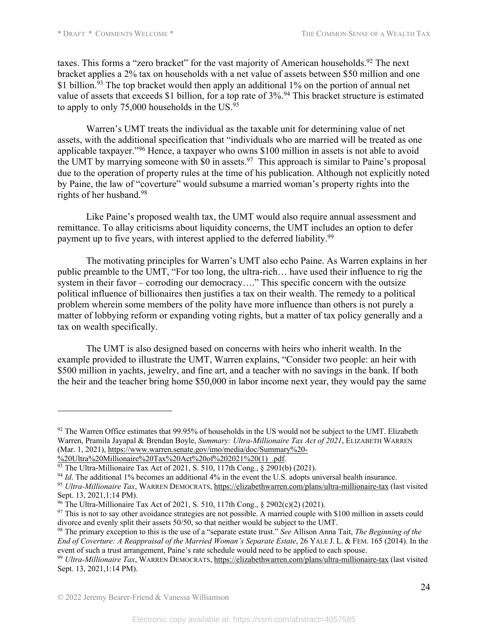taxes. This forms a "zero bracket" for the vast majority of American households.<sup>92</sup> The next bracket applies a 2% tax on households with a net value of assets between \$50 million and one \$1 billion.<sup>93</sup> The top bracket would then apply an additional 1% on the portion of annual net value of assets that exceeds \$1 billion, for a top rate of 3%.<sup>94</sup> This bracket structure is estimated to apply to only 75,000 households in the US. $95$ 

Warren's UMT treats the individual as the taxable unit for determining value of net assets, with the additional specification that "individuals who are married will be treated as one applicable taxpayer."<sup>96</sup> Hence, a taxpayer who owns \$100 million in assets is not able to avoid the UMT by marrying someone with \$0 in assets.<sup>97</sup> This approach is similar to Paine's proposal due to the operation of property rules at the time of his publication. Although not explicitly noted by Paine, the law of "coverture" would subsume a married woman's property rights into the rights of her husband.98

Like Paine's proposed wealth tax, the UMT would also require annual assessment and remittance. To allay criticisms about liquidity concerns, the UMT includes an option to defer payment up to five years, with interest applied to the deferred liability.<sup>99</sup>

The motivating principles for Warren's UMT also echo Paine. As Warren explains in her public preamble to the UMT, "For too long, the ultra-rich… have used their influence to rig the system in their favor – corroding our democracy...." This specific concern with the outsize political influence of billionaires then justifies a tax on their wealth. The remedy to a political problem wherein some members of the polity have more influence than others is not purely a matter of lobbying reform or expanding voting rights, but a matter of tax policy generally and a tax on wealth specifically.

The UMT is also designed based on concerns with heirs who inherit wealth. In the example provided to illustrate the UMT, Warren explains, "Consider two people: an heir with \$500 million in yachts, jewelry, and fine art, and a teacher with no savings in the bank. If both the heir and the teacher bring home \$50,000 in labor income next year, they would pay the same

Sept. 13, 2021,1:14 PM).

<sup>&</sup>lt;sup>92</sup> The Warren Office estimates that 99.95% of households in the US would not be subject to the UMT. Elizabeth Warren, Pramila Jayapal & Brendan Boyle, *Summary: Ultra-Millionaire Tax Act of 2021*, ELIZABETH WARREN (Mar. 1, 2021), https://www.warren.senate.gov/imo/media/doc/Summary%20-

<sup>%20</sup>Ultra%20Millionaire%20Tax%20Act%20of%202021%20(1) .pdf.

<sup>&</sup>lt;sup>93</sup> The Ultra-Millionaire Tax Act of 2021, S. 510, 117th Cong., § 2901(b) (2021).

<sup>&</sup>lt;sup>94</sup> *Id*. The additional 1% becomes an additional 4% in the event the U.S. adopts universal health insurance. <sup>95</sup> *Ultra-Millionaire Tax*, WARREN DEMOCRATS, https://elizabethwarren.com/plans/ultra-millionaire-tax (last visited

<sup>96</sup> The Ultra-Millionaire Tax Act of 2021, S. 510, 117th Cong., § 2902(c)(2) (2021).

 $97$  This is not to say other avoidance strategies are not possible. A married couple with \$100 million in assets could divorce and evenly split their assets 50/50, so that neither would be subject to the UMT.

<sup>98</sup> The primary exception to this is the use of a "separate estate trust." *See* Allison Anna Tait, *The Beginning of the End of Coverture: A Reappraisal of the Married Woman's Separate Estate*, 26 YALE J. L. & FEM. 165 (2014). In the event of such a trust arrangement, Paine's rate schedule would need to be applied to each spouse.

<sup>99</sup> *Ultra-Millionaire Tax*, WARREN DEMOCRATS, https://elizabethwarren.com/plans/ultra-millionaire-tax (last visited Sept. 13, 2021,1:14 PM).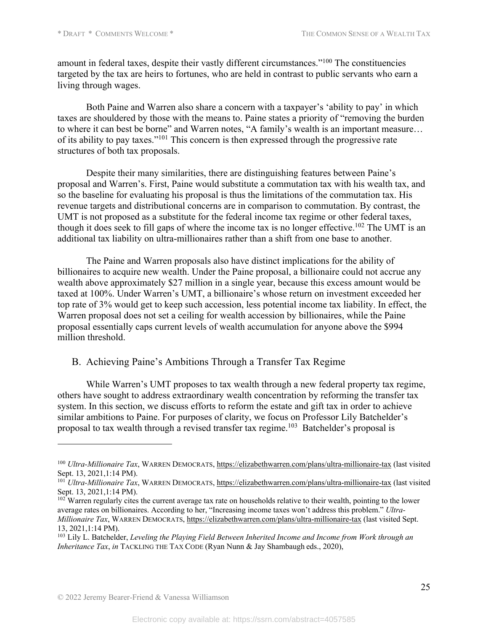amount in federal taxes, despite their vastly different circumstances."100 The constituencies targeted by the tax are heirs to fortunes, who are held in contrast to public servants who earn a living through wages.

Both Paine and Warren also share a concern with a taxpayer's 'ability to pay' in which taxes are shouldered by those with the means to. Paine states a priority of "removing the burden to where it can best be borne" and Warren notes, "A family's wealth is an important measure… of its ability to pay taxes."101 This concern is then expressed through the progressive rate structures of both tax proposals.

Despite their many similarities, there are distinguishing features between Paine's proposal and Warren's. First, Paine would substitute a commutation tax with his wealth tax, and so the baseline for evaluating his proposal is thus the limitations of the commutation tax. His revenue targets and distributional concerns are in comparison to commutation. By contrast, the UMT is not proposed as a substitute for the federal income tax regime or other federal taxes, though it does seek to fill gaps of where the income tax is no longer effective.<sup>102</sup> The UMT is an additional tax liability on ultra-millionaires rather than a shift from one base to another.

The Paine and Warren proposals also have distinct implications for the ability of billionaires to acquire new wealth. Under the Paine proposal, a billionaire could not accrue any wealth above approximately \$27 million in a single year, because this excess amount would be taxed at 100%. Under Warren's UMT, a billionaire's whose return on investment exceeded her top rate of 3% would get to keep such accession, less potential income tax liability. In effect, the Warren proposal does not set a ceiling for wealth accession by billionaires, while the Paine proposal essentially caps current levels of wealth accumulation for anyone above the \$994 million threshold.

### B. Achieving Paine's Ambitions Through a Transfer Tax Regime

While Warren's UMT proposes to tax wealth through a new federal property tax regime, others have sought to address extraordinary wealth concentration by reforming the transfer tax system. In this section, we discuss efforts to reform the estate and gift tax in order to achieve similar ambitions to Paine. For purposes of clarity, we focus on Professor Lily Batchelder's proposal to tax wealth through a revised transfer tax regime.103 Batchelder's proposal is

<sup>100</sup> *Ultra-Millionaire Tax*, WARREN DEMOCRATS, https://elizabethwarren.com/plans/ultra-millionaire-tax (last visited Sept. 13, 2021,1:14 PM).

<sup>101</sup> *Ultra-Millionaire Tax*, WARREN DEMOCRATS, https://elizabethwarren.com/plans/ultra-millionaire-tax (last visited Sept. 13, 2021,1:14 PM).

 $102$  Warren regularly cites the current average tax rate on households relative to their wealth, pointing to the lower average rates on billionaires. According to her, "Increasing income taxes won't address this problem." *Ultra-Millionaire Tax*, WARREN DEMOCRATS, https://elizabethwarren.com/plans/ultra-millionaire-tax (last visited Sept. 13, 2021,1:14 PM).

<sup>103</sup> Lily L. Batchelder, *Leveling the Playing Field Between Inherited Income and Income from Work through an Inheritance Tax*, *in* TACKLING THE TAX CODE (Ryan Nunn & Jay Shambaugh eds., 2020),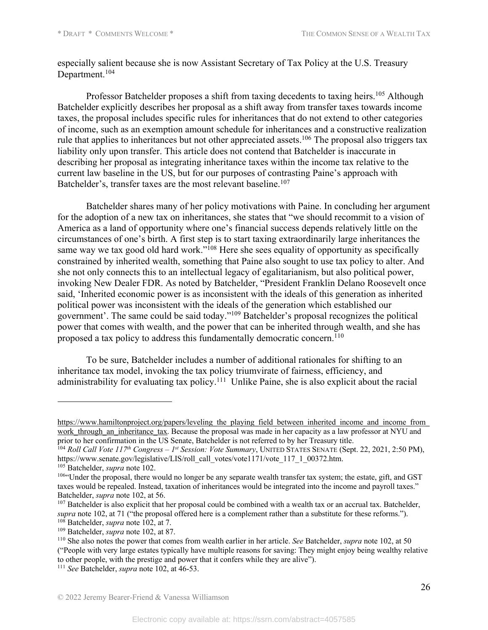especially salient because she is now Assistant Secretary of Tax Policy at the U.S. Treasury Department.<sup>104</sup>

Professor Batchelder proposes a shift from taxing decedents to taxing heirs.<sup>105</sup> Although Batchelder explicitly describes her proposal as a shift away from transfer taxes towards income taxes, the proposal includes specific rules for inheritances that do not extend to other categories of income, such as an exemption amount schedule for inheritances and a constructive realization rule that applies to inheritances but not other appreciated assets.<sup>106</sup> The proposal also triggers tax liability only upon transfer. This article does not contend that Batchelder is inaccurate in describing her proposal as integrating inheritance taxes within the income tax relative to the current law baseline in the US, but for our purposes of contrasting Paine's approach with Batchelder's, transfer taxes are the most relevant baseline.<sup>107</sup>

Batchelder shares many of her policy motivations with Paine. In concluding her argument for the adoption of a new tax on inheritances, she states that "we should recommit to a vision of America as a land of opportunity where one's financial success depends relatively little on the circumstances of one's birth. A first step is to start taxing extraordinarily large inheritances the same way we tax good old hard work."<sup>108</sup> Here she sees equality of opportunity as specifically constrained by inherited wealth, something that Paine also sought to use tax policy to alter. And she not only connects this to an intellectual legacy of egalitarianism, but also political power, invoking New Dealer FDR. As noted by Batchelder, "President Franklin Delano Roosevelt once said, 'Inherited economic power is as inconsistent with the ideals of this generation as inherited political power was inconsistent with the ideals of the generation which established our government'. The same could be said today."109 Batchelder's proposal recognizes the political power that comes with wealth, and the power that can be inherited through wealth, and she has proposed a tax policy to address this fundamentally democratic concern.<sup>110</sup>

To be sure, Batchelder includes a number of additional rationales for shifting to an inheritance tax model, invoking the tax policy triumvirate of fairness, efficiency, and administrability for evaluating tax policy.<sup>111</sup> Unlike Paine, she is also explicit about the racial

https://www.hamiltonproject.org/papers/leveling\_the\_playing\_field\_between\_inherited\_income\_and\_income\_from work through an inheritance tax. Because the proposal was made in her capacity as a law professor at NYU and prior to her confirmation in the US Senate, Batchelder is not referred to by her Treasury title.

<sup>104</sup> *Roll Call Vote 117th Congress – 1st Session: Vote Summary*, UNITED STATES SENATE (Sept. 22, 2021, 2:50 PM), https://www.senate.gov/legislative/LIS/roll\_call\_votes/vote1171/vote\_117\_1\_00372.htm.

<sup>105</sup> Batchelder, *supra* note 102.

<sup>&</sup>lt;sup>106</sup>"Under the proposal, there would no longer be any separate wealth transfer tax system; the estate, gift, and GST taxes would be repealed. Instead, taxation of inheritances would be integrated into the income and payroll taxes." Batchelder, *supra* note 102, at 56.

<sup>&</sup>lt;sup>107</sup> Batchelder is also explicit that her proposal could be combined with a wealth tax or an accrual tax. Batchelder, *supra* note 102, at 71 ("the proposal offered here is a complement rather than a substitute for these reforms."). <sup>108</sup> Batchelder, *supra* note 102, at 7.

<sup>109</sup> Batchelder, *supra* note 102, at 87.

<sup>110</sup> She also notes the power that comes from wealth earlier in her article. *See* Batchelder, *supra* note 102, at 50 ("People with very large estates typically have multiple reasons for saving: They might enjoy being wealthy relative to other people, with the prestige and power that it confers while they are alive").

<sup>111</sup> *See* Batchelder, *supra* note 102, at 46-53.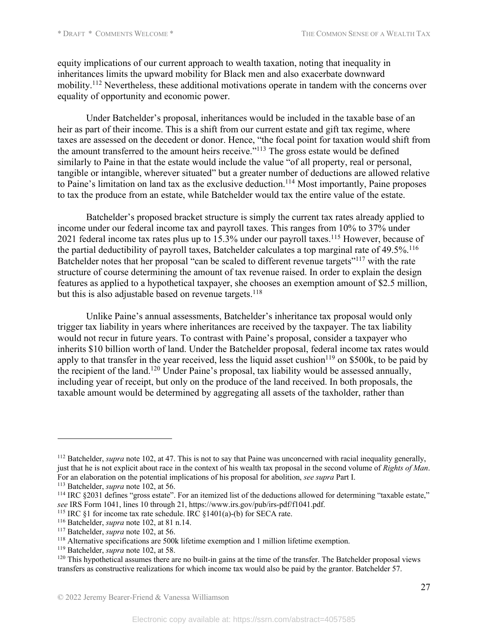equity implications of our current approach to wealth taxation, noting that inequality in inheritances limits the upward mobility for Black men and also exacerbate downward mobility.112 Nevertheless, these additional motivations operate in tandem with the concerns over equality of opportunity and economic power.

Under Batchelder's proposal, inheritances would be included in the taxable base of an heir as part of their income. This is a shift from our current estate and gift tax regime, where taxes are assessed on the decedent or donor. Hence, "the focal point for taxation would shift from the amount transferred to the amount heirs receive."<sup>113</sup> The gross estate would be defined similarly to Paine in that the estate would include the value "of all property, real or personal, tangible or intangible, wherever situated" but a greater number of deductions are allowed relative to Paine's limitation on land tax as the exclusive deduction.<sup>114</sup> Most importantly, Paine proposes to tax the produce from an estate, while Batchelder would tax the entire value of the estate.

Batchelder's proposed bracket structure is simply the current tax rates already applied to income under our federal income tax and payroll taxes. This ranges from 10% to 37% under 2021 federal income tax rates plus up to  $15.3\%$  under our payroll taxes.<sup>115</sup> However, because of the partial deductibility of payroll taxes, Batchelder calculates a top marginal rate of 49.5%.<sup>116</sup> Batchelder notes that her proposal "can be scaled to different revenue targets"117 with the rate structure of course determining the amount of tax revenue raised. In order to explain the design features as applied to a hypothetical taxpayer, she chooses an exemption amount of \$2.5 million, but this is also adjustable based on revenue targets.<sup>118</sup>

Unlike Paine's annual assessments, Batchelder's inheritance tax proposal would only trigger tax liability in years where inheritances are received by the taxpayer. The tax liability would not recur in future years. To contrast with Paine's proposal, consider a taxpayer who inherits \$10 billion worth of land. Under the Batchelder proposal, federal income tax rates would apply to that transfer in the year received, less the liquid asset cushion<sup>119</sup> on \$500k, to be paid by the recipient of the land.120 Under Paine's proposal, tax liability would be assessed annually, including year of receipt, but only on the produce of the land received. In both proposals, the taxable amount would be determined by aggregating all assets of the taxholder, rather than

<sup>112</sup> Batchelder, *supra* note 102, at 47. This is not to say that Paine was unconcerned with racial inequality generally, just that he is not explicit about race in the context of his wealth tax proposal in the second volume of *Rights of Man*. For an elaboration on the potential implications of his proposal for abolition, *see supra* Part I.

<sup>113</sup> Batchelder, *supra* note 102, at 56.

<sup>&</sup>lt;sup>114</sup> IRC §2031 defines "gross estate". For an itemized list of the deductions allowed for determining "taxable estate," *see* IRS Form 1041, lines 10 through 21, https://www.irs.gov/pub/irs-pdf/f1041.pdf.

<sup>&</sup>lt;sup>115</sup> IRC §1 for income tax rate schedule. IRC §1401(a)-(b) for SECA rate.

<sup>116</sup> Batchelder, *supra* note 102, at 81 n.14.

<sup>117</sup> Batchelder, *supra* note 102, at 56.

<sup>&</sup>lt;sup>118</sup> Alternative specifications are 500k lifetime exemption and 1 million lifetime exemption.

<sup>119</sup> Batchelder, *supra* note 102, at 58.

<sup>&</sup>lt;sup>120</sup> This hypothetical assumes there are no built-in gains at the time of the transfer. The Batchelder proposal views transfers as constructive realizations for which income tax would also be paid by the grantor. Batchelder 57.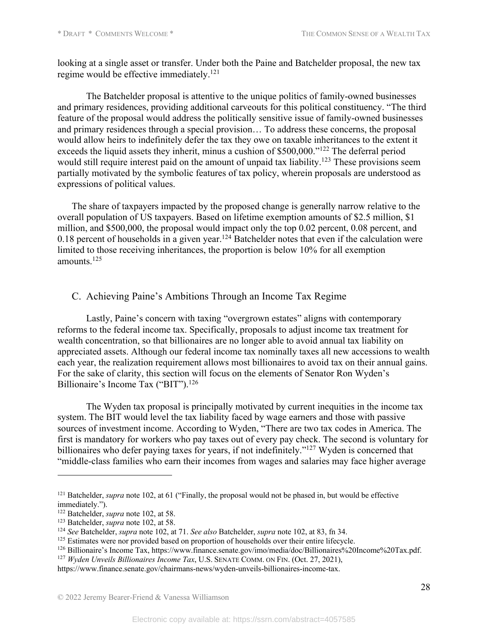looking at a single asset or transfer. Under both the Paine and Batchelder proposal, the new tax regime would be effective immediately.121

The Batchelder proposal is attentive to the unique politics of family-owned businesses and primary residences, providing additional carveouts for this political constituency. "The third feature of the proposal would address the politically sensitive issue of family-owned businesses and primary residences through a special provision… To address these concerns, the proposal would allow heirs to indefinitely defer the tax they owe on taxable inheritances to the extent it exceeds the liquid assets they inherit, minus a cushion of \$500,000."122 The deferral period would still require interest paid on the amount of unpaid tax liability.<sup>123</sup> These provisions seem partially motivated by the symbolic features of tax policy, wherein proposals are understood as expressions of political values.

The share of taxpayers impacted by the proposed change is generally narrow relative to the overall population of US taxpayers. Based on lifetime exemption amounts of \$2.5 million, \$1 million, and \$500,000, the proposal would impact only the top 0.02 percent, 0.08 percent, and 0.18 percent of households in a given year.<sup>124</sup> Batchelder notes that even if the calculation were limited to those receiving inheritances, the proportion is below 10% for all exemption amounts.125

### C. Achieving Paine's Ambitions Through an Income Tax Regime

Lastly, Paine's concern with taxing "overgrown estates" aligns with contemporary reforms to the federal income tax. Specifically, proposals to adjust income tax treatment for wealth concentration, so that billionaires are no longer able to avoid annual tax liability on appreciated assets. Although our federal income tax nominally taxes all new accessions to wealth each year, the realization requirement allows most billionaires to avoid tax on their annual gains. For the sake of clarity, this section will focus on the elements of Senator Ron Wyden's Billionaire's Income Tax ("BIT").<sup>126</sup>

The Wyden tax proposal is principally motivated by current inequities in the income tax system. The BIT would level the tax liability faced by wage earners and those with passive sources of investment income. According to Wyden, "There are two tax codes in America. The first is mandatory for workers who pay taxes out of every pay check. The second is voluntary for billionaires who defer paying taxes for years, if not indefinitely."<sup>127</sup> Wyden is concerned that "middle-class families who earn their incomes from wages and salaries may face higher average

<sup>&</sup>lt;sup>121</sup> Batchelder, *supra* note 102, at 61 ("Finally, the proposal would not be phased in, but would be effective immediately.").

<sup>122</sup> Batchelder, *supra* note 102, at 58.

<sup>&</sup>lt;sup>123</sup> Batchelder, *supra* note 102, at 58.<br><sup>124</sup> See Batchelder, *supra* note 102, at 71. See also Batchelder, *supra* note 102, at 83, fn 34.

<sup>&</sup>lt;sup>125</sup> Estimates were nor provided based on proportion of households over their entire lifecycle.

<sup>126</sup> Billionaire's Income Tax, https://www.finance.senate.gov/imo/media/doc/Billionaires%20Income%20Tax.pdf.

<sup>127</sup> *Wyden Unveils Billionaires Income Tax*, U.S. SENATE COMM. ON FIN. (Oct. 27, 2021),

https://www.finance.senate.gov/chairmans-news/wyden-unveils-billionaires-income-tax.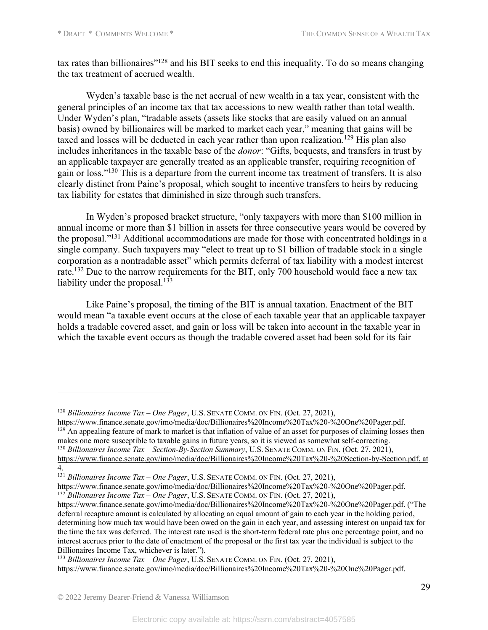tax rates than billionaires"128 and his BIT seeks to end this inequality. To do so means changing the tax treatment of accrued wealth.

Wyden's taxable base is the net accrual of new wealth in a tax year, consistent with the general principles of an income tax that tax accessions to new wealth rather than total wealth. Under Wyden's plan, "tradable assets (assets like stocks that are easily valued on an annual basis) owned by billionaires will be marked to market each year," meaning that gains will be taxed and losses will be deducted in each year rather than upon realization.<sup>129</sup> His plan also includes inheritances in the taxable base of the *donor*: "Gifts, bequests, and transfers in trust by an applicable taxpayer are generally treated as an applicable transfer, requiring recognition of gain or loss."130 This is a departure from the current income tax treatment of transfers. It is also clearly distinct from Paine's proposal, which sought to incentive transfers to heirs by reducing tax liability for estates that diminished in size through such transfers.

In Wyden's proposed bracket structure, "only taxpayers with more than \$100 million in annual income or more than \$1 billion in assets for three consecutive years would be covered by the proposal."131 Additional accommodations are made for those with concentrated holdings in a single company. Such taxpayers may "elect to treat up to \$1 billion of tradable stock in a single corporation as a nontradable asset" which permits deferral of tax liability with a modest interest rate.<sup>132</sup> Due to the narrow requirements for the BIT, only 700 household would face a new tax liability under the proposal.<sup>133</sup>

Like Paine's proposal, the timing of the BIT is annual taxation. Enactment of the BIT would mean "a taxable event occurs at the close of each taxable year that an applicable taxpayer holds a tradable covered asset, and gain or loss will be taken into account in the taxable year in which the taxable event occurs as though the tradable covered asset had been sold for its fair

<sup>128</sup> *Billionaires Income Tax – One Pager*, U.S. SENATE COMM. ON FIN. (Oct. 27, 2021),

https://www.finance.senate.gov/imo/media/doc/Billionaires%20Income%20Tax%20-%20One%20Pager.pdf.  $129$  An appealing feature of mark to market is that inflation of value of an asset for purposes of claiming losses then makes one more susceptible to taxable gains in future years, so it is viewed as somewhat self-correcting. <sup>130</sup> *Billionaires Income Tax – Section-By-Section Summary*, U.S. SENATE COMM. ON FIN. (Oct. 27, 2021),

https://www.finance.senate.gov/imo/media/doc/Billionaires%20Income%20Tax%20-%20Section-by-Section.pdf, at 4.

<sup>131</sup> *Billionaires Income Tax – One Pager*, U.S. SENATE COMM. ON FIN. (Oct. 27, 2021),

https://www.finance.senate.gov/imo/media/doc/Billionaires%20Income%20Tax%20-%20One%20Pager.pdf. <sup>132</sup> *Billionaires Income Tax – One Pager*, U.S. SENATE COMM. ON FIN. (Oct. 27, 2021),

https://www.finance.senate.gov/imo/media/doc/Billionaires%20Income%20Tax%20-%20One%20Pager.pdf. ("The deferral recapture amount is calculated by allocating an equal amount of gain to each year in the holding period, determining how much tax would have been owed on the gain in each year, and assessing interest on unpaid tax for the time the tax was deferred. The interest rate used is the short-term federal rate plus one percentage point, and no interest accrues prior to the date of enactment of the proposal or the first tax year the individual is subject to the Billionaires Income Tax, whichever is later.").

<sup>133</sup> *Billionaires Income Tax – One Pager*, U.S. SENATE COMM. ON FIN. (Oct. 27, 2021),

https://www.finance.senate.gov/imo/media/doc/Billionaires%20Income%20Tax%20-%20One%20Pager.pdf.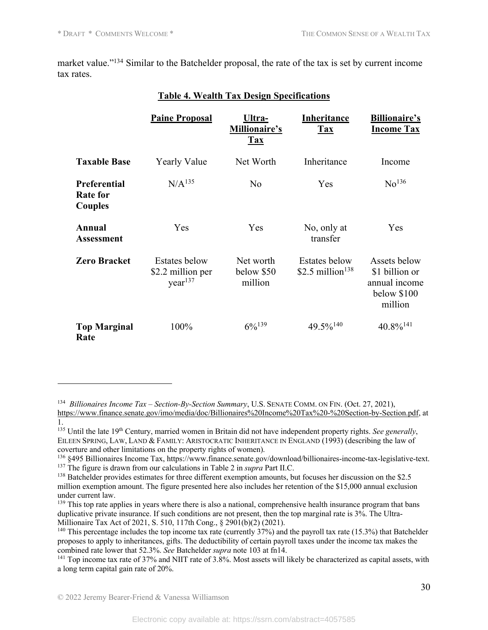market value."<sup>134</sup> Similar to the Batchelder proposal, the rate of the tax is set by current income tax rates.

|                                                   | <b>Paine Proposal</b>                                            | Ultra-<br>Millionaire's<br><b>Tax</b> | Inheritance<br><b>Tax</b>                            | <b>Billionaire's</b><br><b>Income Tax</b>                                 |
|---------------------------------------------------|------------------------------------------------------------------|---------------------------------------|------------------------------------------------------|---------------------------------------------------------------------------|
| <b>Taxable Base</b>                               | <b>Yearly Value</b>                                              | Net Worth                             | Inheritance                                          | Income                                                                    |
| <b>Preferential</b><br><b>Rate for</b><br>Couples | N/A <sup>135</sup>                                               | No                                    | Yes                                                  | No <sup>136</sup>                                                         |
| Annual<br><b>Assessment</b>                       | Yes                                                              | Yes                                   | No, only at<br>transfer                              | <b>Yes</b>                                                                |
| <b>Zero Bracket</b>                               | <b>Estates below</b><br>\$2.2 million per<br>year <sup>137</sup> | Net worth<br>below \$50<br>million    | <b>Estates below</b><br>\$2.5 million <sup>138</sup> | Assets below<br>\$1 billion or<br>annual income<br>below \$100<br>million |
| <b>Top Marginal</b><br>Rate                       | 100%                                                             | $6\frac{6}{139}$                      | $49.5\%^{140}$                                       | $40.8\%$ <sup>141</sup>                                                   |

### **Table 4. Wealth Tax Design Specifications**

<sup>134</sup> *Billionaires Income Tax – Section-By-Section Summary*, U.S. SENATE COMM. ON FIN. (Oct. 27, 2021), https://www.finance.senate.gov/imo/media/doc/Billionaires%20Income%20Tax%20-%20Section-by-Section.pdf, at 1.

<sup>135</sup> Until the late 19th Century, married women in Britain did not have independent property rights. *See generally*, EILEEN SPRING, LAW, LAND & FAMILY: ARISTOCRATIC INHERITANCE IN ENGLAND (1993) (describing the law of coverture and other limitations on the property rights of women).

<sup>&</sup>lt;sup>136</sup> §495 Billionaires Income Tax, https://www.finance.senate.gov/download/billionaires-income-tax-legislative-text. <sup>137</sup> The figure is drawn from our calculations in Table 2 in *supra* Part II.C.

<sup>&</sup>lt;sup>138</sup> Batchelder provides estimates for three different exemption amounts, but focuses her discussion on the \$2.5 million exemption amount. The figure presented here also includes her retention of the \$15,000 annual exclusion under current law.

 $139$  This top rate applies in years where there is also a national, comprehensive health insurance program that bans duplicative private insurance. If such conditions are not present, then the top marginal rate is 3%. The Ultra-Millionaire Tax Act of 2021, S. 510, 117th Cong., § 2901(b)(2) (2021).

<sup>&</sup>lt;sup>140</sup> This percentage includes the top income tax rate (currently 37%) and the payroll tax rate (15.3%) that Batchelder proposes to apply to inheritances, gifts. The deductibility of certain payroll taxes under the income tax makes the combined rate lower that 52.3%. *See* Batchelder *supra* note 103 at fn14.

<sup>&</sup>lt;sup>141</sup> Top income tax rate of 37% and NIIT rate of 3.8%. Most assets will likely be characterized as capital assets, with a long term capital gain rate of 20%.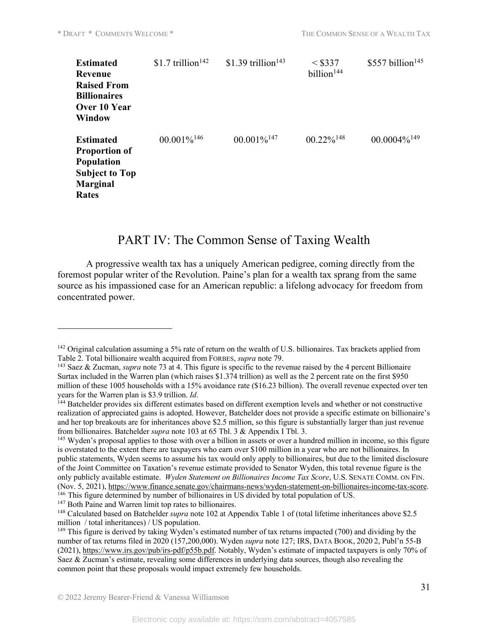| <b>Estimated</b><br>Revenue<br><b>Raised From</b><br><b>Billionaires</b><br>Over 10 Year<br><b>Window</b>          | \$1.7 trillion <sup>142</sup> | $$1.39$ trillion <sup>143</sup> | $<$ \$337<br>billion <sup>144</sup> | \$557 billion <sup>145</sup> |
|--------------------------------------------------------------------------------------------------------------------|-------------------------------|---------------------------------|-------------------------------------|------------------------------|
| <b>Estimated</b><br><b>Proportion of</b><br><b>Population</b><br><b>Subject to Top</b><br><b>Marginal</b><br>Rates | $00.001\%$ <sup>146</sup>     | $00.001\%$ <sup>147</sup>       | $00.22\%$ <sup>148</sup>            | $00.0004\%$ <sup>149</sup>   |

# PART IV: The Common Sense of Taxing Wealth

A progressive wealth tax has a uniquely American pedigree, coming directly from the foremost popular writer of the Revolution. Paine's plan for a wealth tax sprang from the same source as his impassioned case for an American republic: a lifelong advocacy for freedom from concentrated power.

<sup>145</sup> Wyden's proposal applies to those with over a billion in assets or over a hundred million in income, so this figure is overstated to the extent there are taxpayers who earn over \$100 million in a year who are not billionaires. In public statements, Wyden seems to assume his tax would only apply to billionaires, but due to the limited disclosure of the Joint Committee on Taxation's revenue estimate provided to Senator Wyden, this total revenue figure is the only publicly available estimate. *Wyden Statement on Billionaires Income Tax Score*, U.S. SENATE COMM. ON FIN. (Nov. 5, 2021), https://www.finance.senate.gov/chairmans-news/wyden-statement-on-billionaires-income-tax-score. <sup>146</sup> This figure determined by number of billionaires in US divided by total population of US.

<sup>147</sup> Both Paine and Warren limit top rates to billionaires.

<sup>&</sup>lt;sup>142</sup> Original calculation assuming a 5% rate of return on the wealth of U.S. billionaires. Tax brackets applied from Table 2. Total billionaire wealth acquired from FORBES, *supra* note 79.

<sup>143</sup> Saez & Zucman, *supra* note 73 at 4. This figure is specific to the revenue raised by the 4 percent Billionaire Surtax included in the Warren plan (which raises \$1.374 trillion) as well as the 2 percent rate on the first \$950 million of these 1005 households with a 15% avoidance rate (\$16.23 billion). The overall revenue expected over ten

years for the Warren plan is \$3.9 trillion. *Id*.<br><sup>144</sup> Batchelder provides six different estimates based on different exemption levels and whether or not constructive realization of appreciated gains is adopted. However, Batchelder does not provide a specific estimate on billionaire's and her top breakouts are for inheritances above \$2.5 million, so this figure is substantially larger than just revenue from billionaires. Batchelder *supra* note 103 at 65 Tbl. 3 & Appendix I Tbl. 3.

<sup>148</sup> Calculated based on Batchelder *supra* note 102 at Appendix Table 1 of (total lifetime inheritances above \$2.5 million / total inheritances) / US population.

<sup>&</sup>lt;sup>149</sup> This figure is derived by taking Wyden's estimated number of tax returns impacted (700) and dividing by the number of tax returns filed in 2020 (157,200,000). Wyden *supra* note 127; IRS, DATA BOOK, 2020 2, Publ'n 55-B (2021), https://www.irs.gov/pub/irs-pdf/p55b.pdf. Notably, Wyden's estimate of impacted taxpayers is only 70% of Saez & Zucman's estimate, revealing some differences in underlying data sources, though also revealing the common point that these proposals would impact extremely few households.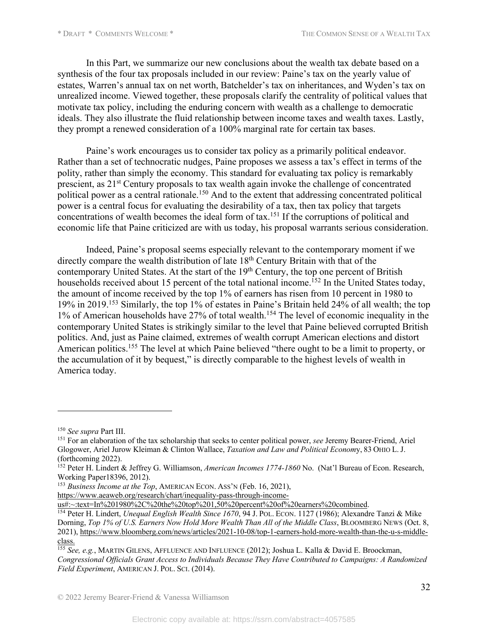In this Part, we summarize our new conclusions about the wealth tax debate based on a synthesis of the four tax proposals included in our review: Paine's tax on the yearly value of estates, Warren's annual tax on net worth, Batchelder's tax on inheritances, and Wyden's tax on unrealized income. Viewed together, these proposals clarify the centrality of political values that motivate tax policy, including the enduring concern with wealth as a challenge to democratic ideals. They also illustrate the fluid relationship between income taxes and wealth taxes. Lastly, they prompt a renewed consideration of a 100% marginal rate for certain tax bases.

Paine's work encourages us to consider tax policy as a primarily political endeavor. Rather than a set of technocratic nudges, Paine proposes we assess a tax's effect in terms of the polity, rather than simply the economy. This standard for evaluating tax policy is remarkably prescient, as 21<sup>st</sup> Century proposals to tax wealth again invoke the challenge of concentrated political power as a central rationale.<sup>150</sup> And to the extent that addressing concentrated political power is a central focus for evaluating the desirability of a tax, then tax policy that targets concentrations of wealth becomes the ideal form of tax.<sup>151</sup> If the corruptions of political and economic life that Paine criticized are with us today, his proposal warrants serious consideration.

Indeed, Paine's proposal seems especially relevant to the contemporary moment if we directly compare the wealth distribution of late 18<sup>th</sup> Century Britain with that of the contemporary United States. At the start of the  $19<sup>th</sup>$  Century, the top one percent of British households received about 15 percent of the total national income.<sup>152</sup> In the United States today, the amount of income received by the top 1% of earners has risen from 10 percent in 1980 to 19% in 2019.153 Similarly, the top 1% of estates in Paine's Britain held 24% of all wealth; the top 1% of American households have 27% of total wealth.<sup>154</sup> The level of economic inequality in the contemporary United States is strikingly similar to the level that Paine believed corrupted British politics. And, just as Paine claimed, extremes of wealth corrupt American elections and distort American politics.<sup>155</sup> The level at which Paine believed "there ought to be a limit to property, or the accumulation of it by bequest," is directly comparable to the highest levels of wealth in America today.

<sup>153</sup> *Business Income at the Top*, AMERICAN ECON. ASS'N (Feb. 16, 2021),

https://www.aeaweb.org/research/chart/inequality-pass-through-income-<br>us#:~:text=In%201980%2C%20the%20top%201,50%20percent%20of%20earners%20combined.

<sup>&</sup>lt;sup>150</sup> *See supra* Part III.<br><sup>151</sup> For an elaboration of the tax scholarship that seeks to center political power, *see* Jeremy Bearer-Friend, Ariel Glogower, Ariel Jurow Kleiman & Clinton Wallace, *Taxation and Law and Political Econom*y, 83 OHIO L. J. (forthcoming 2022).

<sup>152</sup> Peter H. Lindert & Jeffrey G. Williamson, *American Incomes 1774-1860* No. (Nat'l Bureau of Econ. Research, Working Paper18396, 2012).

<sup>&</sup>lt;sup>154</sup> Peter H. Lindert, *Unequal English Wealth Since 1670*, 94 J. POL. ECON. 1127 (1986); Alexandre Tanzi & Mike Dorning, *Top 1% of U.S. Earners Now Hold More Wealth Than All of the Middle Class*, BLOOMBERG NEWS (Oct. 8, 2021), https://www.bloomberg.com/news/articles/2021-10-08/top-1-earners-hold-more-wealth-than-the-u-s-middleclass.

<sup>155</sup> *See, e.g.*, MARTIN GILENS, AFFLUENCE AND INFLUENCE (2012); Joshua L. Kalla & David E. Broockman, *Congressional Officials Grant Access to Individuals Because They Have Contributed to Campaigns: A Randomized Field Experiment*, AMERICAN J. POL. SCI. (2014).